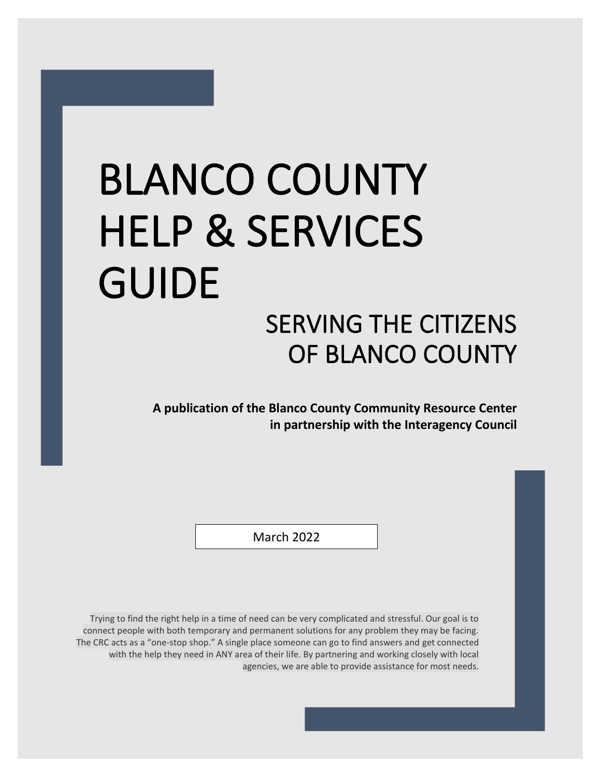# BLANCO COUNTY HELP & SERVICES GUIDE SERVING THE CITIZENS OF BLANCO COUNTY

**A publication of the Blanco County Community Resource Center in partnership with the Interagency Council**

March 2022

Trying to find the right help in a time of need can be very complicated and stressful. Our goal is to connect people with both temporary and permanent solutions for any problem they may be facing. The CRC acts as a "one-stop shop." A single place someone can go to find answers and get connected with the help they need in ANY area of their life. By partnering and working closely with local agencies, we are able to provide assistance for most needs.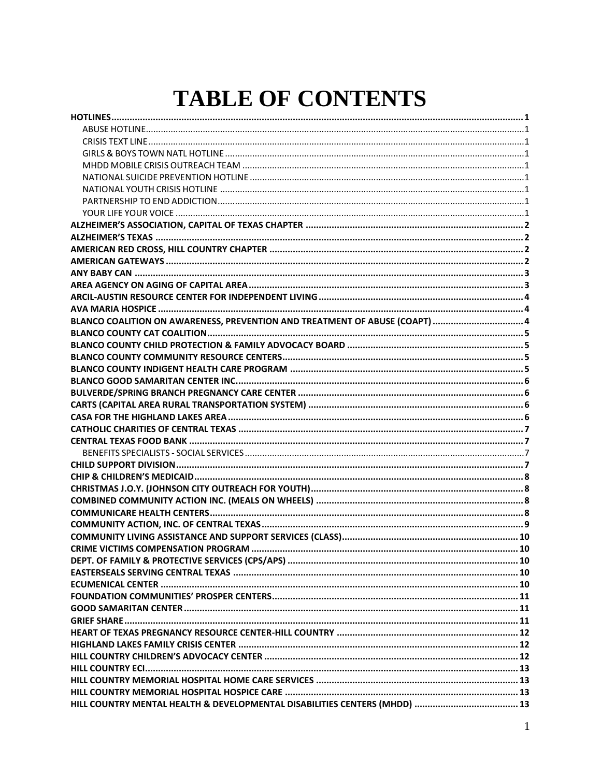## **TABLE OF CONTENTS**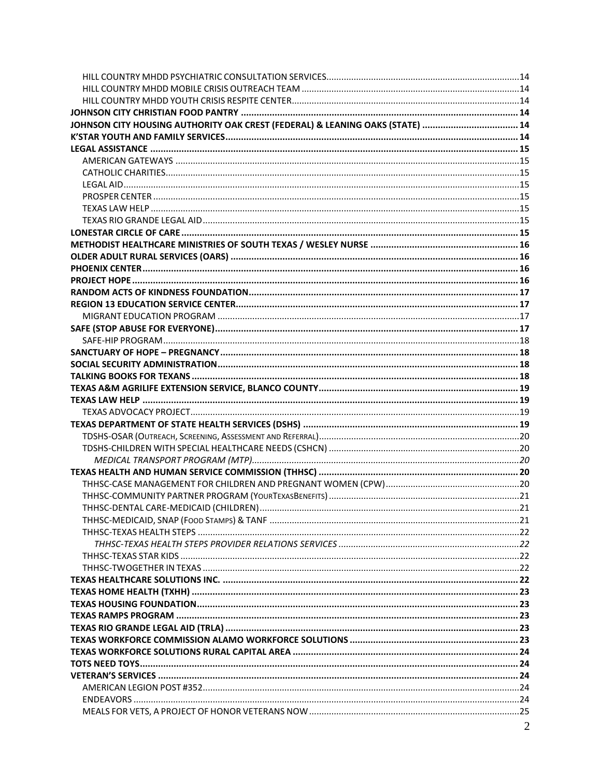| JOHNSON CITY HOUSING AUTHORITY OAK CREST (FEDERAL) & LEANING OAKS (STATE)  14 |  |
|-------------------------------------------------------------------------------|--|
|                                                                               |  |
|                                                                               |  |
|                                                                               |  |
|                                                                               |  |
|                                                                               |  |
|                                                                               |  |
|                                                                               |  |
|                                                                               |  |
|                                                                               |  |
|                                                                               |  |
|                                                                               |  |
|                                                                               |  |
|                                                                               |  |
|                                                                               |  |
|                                                                               |  |
|                                                                               |  |
|                                                                               |  |
|                                                                               |  |
|                                                                               |  |
|                                                                               |  |
|                                                                               |  |
|                                                                               |  |
|                                                                               |  |
|                                                                               |  |
|                                                                               |  |
|                                                                               |  |
|                                                                               |  |
|                                                                               |  |
|                                                                               |  |
|                                                                               |  |
|                                                                               |  |
|                                                                               |  |
|                                                                               |  |
|                                                                               |  |
|                                                                               |  |
|                                                                               |  |
|                                                                               |  |
|                                                                               |  |
|                                                                               |  |
|                                                                               |  |
|                                                                               |  |
|                                                                               |  |
|                                                                               |  |
|                                                                               |  |
|                                                                               |  |
|                                                                               |  |
|                                                                               |  |
|                                                                               |  |
|                                                                               |  |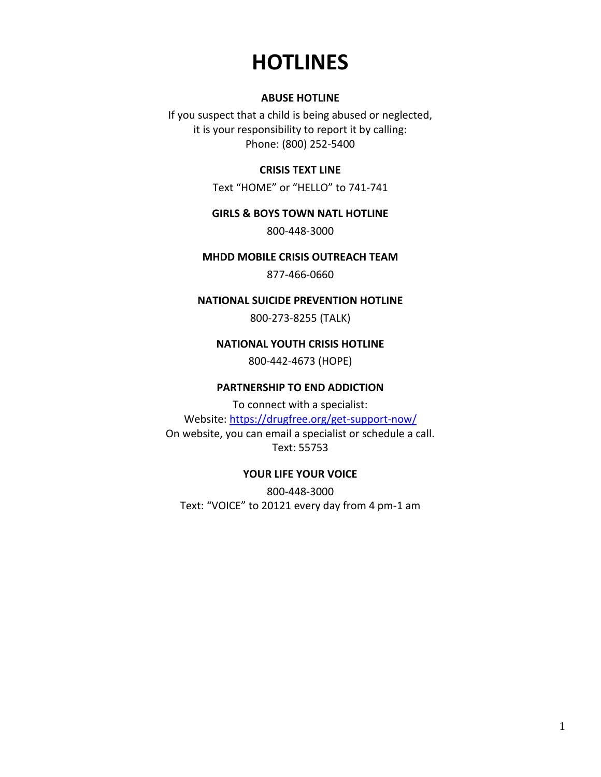## **HOTLINES**

#### **ABUSE HOTLINE**

<span id="page-4-3"></span><span id="page-4-2"></span><span id="page-4-1"></span><span id="page-4-0"></span>If you suspect that a child is being abused or neglected, it is your responsibility to report it by calling: Phone: (800) 252-5400

#### **CRISIS TEXT LINE**

Text "HOME" or "HELLO" to 741-741

#### **GIRLS & BOYS TOWN NATL HOTLINE**

800-448-3000

#### <span id="page-4-4"></span>**MHDD MOBILE CRISIS OUTREACH TEAM**

877-466-0660

#### <span id="page-4-5"></span>**NATIONAL SUICIDE PREVENTION HOTLINE**

800-273-8255 (TALK)

#### **NATIONAL YOUTH CRISIS HOTLINE**

800-442-4673 (HOPE)

#### **PARTNERSHIP TO END ADDICTION**

<span id="page-4-8"></span><span id="page-4-7"></span><span id="page-4-6"></span>To connect with a specialist: Website[: https://drugfree.org/get-support-now/](mailto:delia.arnold@kstar.org) On website, you can email a specialist or schedule a call. Text: 55753

#### **YOUR LIFE YOUR VOICE**

800-448-3000 Text: "VOICE" to 20121 every day from 4 pm-1 am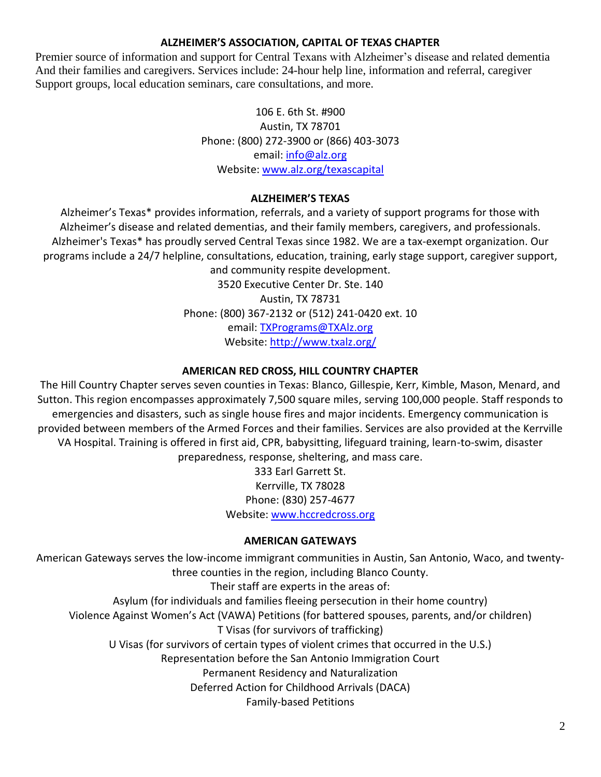## **ALZHEIMER'S ASSOCIATION, CAPITAL OF TEXAS CHAPTER**

<span id="page-5-0"></span>Premier source of information and support for Central Texans with Alzheimer's disease and related dementia And their families and caregivers. Services include: 24-hour help line, information and referral, caregiver Support groups, local education seminars, care consultations, and more.

> 106 E. 6th St. #900 Austin, TX 78701 Phone: (800) 272-3900 or (866) 403-3073 email: [info@alz.org](https://hhs.texas.gov/services/health/medicaid-chip/texas-health-steps) Website: [www.alz.org/texascapital](http://crctx.org/)

## **ALZHEIMER'S TEXAS**

<span id="page-5-1"></span>Alzheimer's Texas\* provides information, referrals, and a variety of support programs for those with Alzheimer's disease and related dementias, and their family members, caregivers, and professionals. Alzheimer's Texas\* has proudly served Central Texas since 1982. We are a tax-exempt organization. Our programs include a 24/7 helpline, consultations, education, training, early stage support, caregiver support, and community respite development.

3520 Executive Center Dr. Ste. 140 Austin, TX 78731 Phone: (800) 367-2132 or (512) 241-0420 ext. 10 email: [TXPrograms@TXAlz.org](https://tmd.texas.gov/helpful-links-and-resources) Website: [http://www.txalz.org/](http://www.211texas.org/)

## **AMERICAN RED CROSS, HILL COUNTRY CHAPTER**

<span id="page-5-2"></span>The Hill Country Chapter serves seven counties in Texas: Blanco, Gillespie, Kerr, Kimble, Mason, Menard, and Sutton. This region encompasses approximately 7,500 square miles, serving 100,000 people. Staff responds to emergencies and disasters, such as single house fires and major incidents. Emergency communication is provided between members of the Armed Forces and their families. Services are also provided at the Kerrville VA Hospital. Training is offered in first aid, CPR, babysitting, lifeguard training, learn-to-swim, disaster preparedness, response, sheltering, and mass care.

> 333 Earl Garrett St. Kerrville, TX 78028 Phone: (830) 257-4677 Website: [www.hccredcross.org](mailto:mbell@ecrh.org)

## **AMERICAN GATEWAYS**

<span id="page-5-3"></span>American Gateways serves the low-income immigrant communities in Austin, San Antonio, Waco, and twentythree counties in the region, including Blanco County. Their staff are experts in the areas of: Asylum (for individuals and families fleeing persecution in their home country) Violence Against Women's Act (VAWA) Petitions (for battered spouses, parents, and/or children) T Visas (for survivors of trafficking) U Visas (for survivors of certain types of violent crimes that occurred in the U.S.) Representation before the San Antonio Immigration Court Permanent Residency and Naturalization Deferred Action for Childhood Arrivals (DACA) Family-based Petitions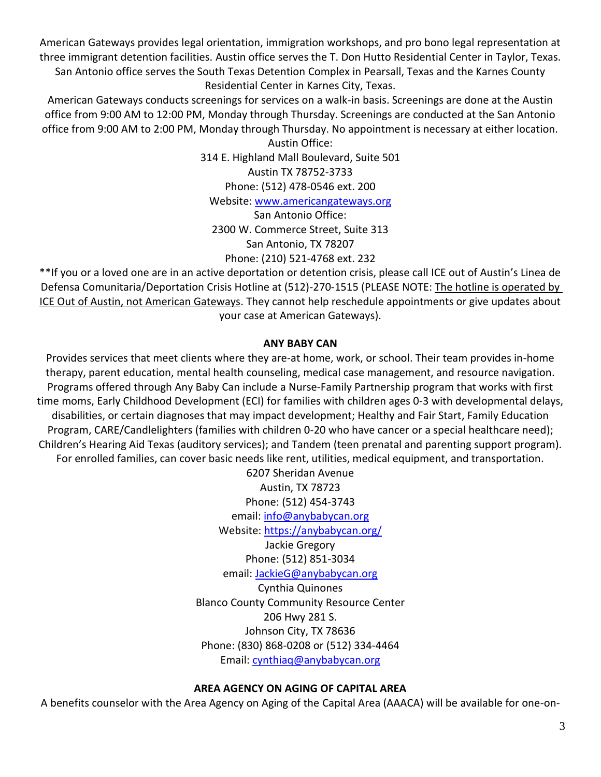American Gateways provides legal orientation, immigration workshops, and pro bono legal representation at three immigrant detention facilities. Austin office serves the T. Don Hutto Residential Center in Taylor, Texas. San Antonio office serves the South Texas Detention Complex in Pearsall, Texas and the Karnes County Residential Center in Karnes City, Texas.

American Gateways conducts screenings for services on a walk-in basis. Screenings are done at the Austin office from 9:00 AM to 12:00 PM, Monday through Thursday. Screenings are conducted at the San Antonio office from 9:00 AM to 2:00 PM, Monday through Thursday. No appointment is necessary at either location. Austin Office:

314 E. Highland Mall Boulevard, Suite 501 Austin TX 78752-3733 Phone: (512) 478-0546 ext. 200 Website: [www.americangateways.org](http://www.crisistextline.org/)

San Antonio Office: 2300 W. Commerce Street, Suite 313 San Antonio, TX 78207 Phone: (210) 521-4768 ext. 232

\*\*If you or a loved one are in an active deportation or detention crisis, please call ICE out of Austin's Linea de Defensa Comunitaria/Deportation Crisis Hotline at (512)-270-1515 (PLEASE NOTE: The hotline is operated by ICE Out of Austin, not American Gateways. They cannot help reschedule appointments or give updates about your case at American Gateways).

## **ANY BABY CAN**

<span id="page-6-0"></span>Provides services that meet clients where they are-at home, work, or school. Their team provides in-home therapy, parent education, mental health counseling, medical case management, and resource navigation. Programs offered through Any Baby Can include a Nurse-Family Partnership program that works with first time moms, Early Childhood Development (ECI) for families with children ages 0-3 with developmental delays, disabilities, or certain diagnoses that may impact development; Healthy and Fair Start, Family Education Program, CARE/Candlelighters (families with children 0-20 who have cancer or a special healthcare need); Children's Hearing Aid Texas (auditory services); and Tandem (teen prenatal and parenting support program). For enrolled families, can cover basic needs like rent, utilities, medical equipment, and transportation.

> 6207 Sheridan Avenue Austin, TX 78723 Phone: (512) 454-3743 email[: info@anybabycan.org](mailto:info@anybabycan.org) Website: [https://anybabycan.org/](mailto:questions@avemariahospice-tx.com) Jackie Gregory

Phone: (512) 851-3034 email: [JackieG@anybabycan.org](mailto:JackieG@anybabycan.org)

Cynthia Quinones Blanco County Community Resource Center 206 Hwy 281 S. Johnson City, TX 78636 Phone: (830) 868-0208 or (512) 334-4464 Email: [cynthiaq@anybabycan.org](http://www.irs.gov/coronavirus)

## **AREA AGENCY ON AGING OF CAPITAL AREA**

<span id="page-6-1"></span>A benefits counselor with the Area Agency on Aging of the Capital Area (AAACA) will be available for one-on-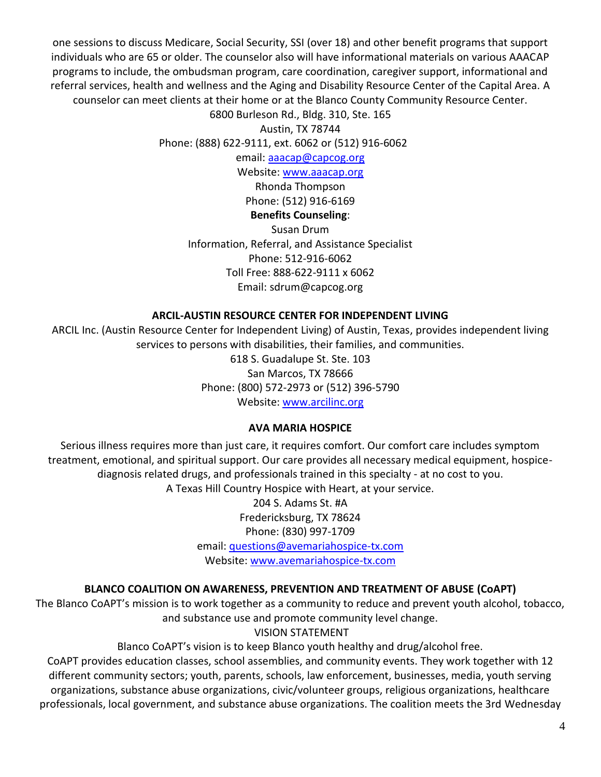one sessions to discuss Medicare, Social Security, SSI (over 18) and other benefit programs that support individuals who are 65 or older. The counselor also will have informational materials on various AAACAP programs to include, the ombudsman program, care coordination, caregiver support, informational and referral services, health and wellness and the Aging and Disability Resource Center of the Capital Area. A counselor can meet clients at their home or at the Blanco County Community Resource Center.

6800 Burleson Rd., Bldg. 310, Ste. 165

Austin, TX 78744 Phone: (888) 622-9111, ext. 6062 or (512) 916-6062

email: [aaacap@capcog.org](mailto:blanco@crctx.org)

Website: [www.aaacap.org](http://www.safeaustin.org/)

Rhonda Thompson

Phone: (512) 916-6169

## **Benefits Counseling**:

Susan Drum Information, Referral, and Assistance Specialist Phone: 512-916-6062 Toll Free: 888-622-9111 x 6062 Email: sdrum@capcog.org

## **ARCIL-AUSTIN RESOURCE CENTER FOR INDEPENDENT LIVING**

<span id="page-7-0"></span>ARCIL Inc. (Austin Resource Center for Independent Living) of Austin, Texas, provides independent living services to persons with disabilities, their families, and communities.

> 618 S. Guadalupe St. Ste. 103 San Marcos, TX 78666 Phone: (800) 572-2973 or (512) 396-5790 Website: [www.arcilinc.org](mailto:blanco@crctx.org)

## **AVA MARIA HOSPICE**

<span id="page-7-1"></span>Serious illness requires more than just care, it requires comfort. Our comfort care includes symptom treatment, emotional, and spiritual support. Our care provides all necessary medical equipment, hospicediagnosis related drugs, and professionals trained in this specialty - at no cost to you. A Texas Hill Country Hospice with Heart, at your service.

> 204 S. Adams St. #A Fredericksburg, TX 78624 Phone: (830) 997-1709 email: [questions@avemariahospice-tx.com](https://endeavors.org/) Website: [www.avemariahospice-tx.com](http://www.facebook.com/business/boost/grant)

## **BLANCO COALITION ON AWARENESS, PREVENTION AND TREATMENT OF ABUSE (CoAPT)**

<span id="page-7-2"></span>The Blanco CoAPT's mission is to work together as a community to reduce and prevent youth alcohol, tobacco, and substance use and promote community level change.

## VISION STATEMENT

Blanco CoAPT's vision is to keep Blanco youth healthy and drug/alcohol free.

CoAPT provides education classes, school assemblies, and community events. They work together with 12 different community sectors; youth, parents, schools, law enforcement, businesses, media, youth serving organizations, substance abuse organizations, civic/volunteer groups, religious organizations, healthcare professionals, local government, and substance abuse organizations. The coalition meets the 3rd Wednesday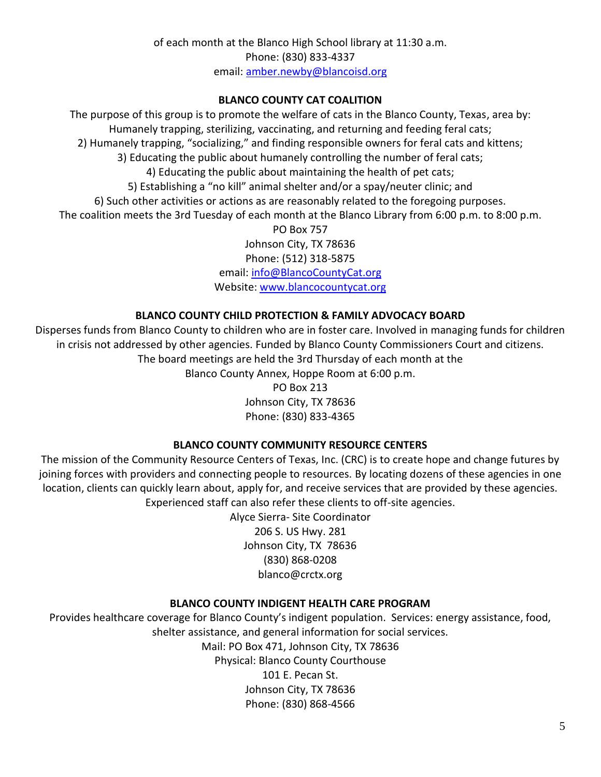## **BLANCO COUNTY CAT COALITION**

<span id="page-8-0"></span>The purpose of this group is to promote the welfare of cats in the Blanco County, Texas, area by: Humanely trapping, sterilizing, vaccinating, and returning and feeding feral cats; 2) Humanely trapping, "socializing," and finding responsible owners for feral cats and kittens; 3) Educating the public about humanely controlling the number of feral cats; 4) Educating the public about maintaining the health of pet cats; 5) Establishing a "no kill" animal shelter and/or a spay/neuter clinic; and 6) Such other activities or actions as are reasonably related to the foregoing purposes. The coalition meets the 3rd Tuesday of each month at the Blanco Library from 6:00 p.m. to 8:00 p.m. PO Box 757 Johnson City, TX 78636 Phone: (512) 318-5875

email: [info@BlancoCountyCat.org](mailto:blanco-tx@tamu.edu) Website: [www.blancocountycat.org](http://www.blancocountycat.org/)

## **BLANCO COUNTY CHILD PROTECTION & FAMILY ADVOCACY BOARD**

<span id="page-8-1"></span>Disperses funds from Blanco County to children who are in foster care. Involved in managing funds for children in crisis not addressed by other agencies. Funded by Blanco County Commissioners Court and citizens. The board meetings are held the 3rd Thursday of each month at the Blanco County Annex, Hoppe Room at 6:00 p.m.

PO Box 213 Johnson City, TX 78636 Phone: (830) 833-4365

## **BLANCO COUNTY COMMUNITY RESOURCE CENTERS**

<span id="page-8-2"></span>The mission of the Community Resource Centers of Texas, Inc. (CRC) is to create hope and change futures by joining forces with providers and connecting people to resources. By locating dozens of these agencies in one location, clients can quickly learn about, apply for, and receive services that are provided by these agencies. Experienced staff can also refer these clients to off-site agencies.

> Alyce Sierra- Site Coordinator 206 S. US Hwy. 281 Johnson City, TX 78636 (830) 868-0208 blanco@crctx.org

## **BLANCO COUNTY INDIGENT HEALTH CARE PROGRAM**

<span id="page-8-3"></span>Provides healthcare coverage for Blanco County's indigent population. Services: energy assistance, food, shelter assistance, and general information for social services. Mail: PO Box 471, Johnson City, TX 78636 Physical: Blanco County Courthouse 101 E. Pecan St. Johnson City, TX 78636 Phone: (830) 868-4566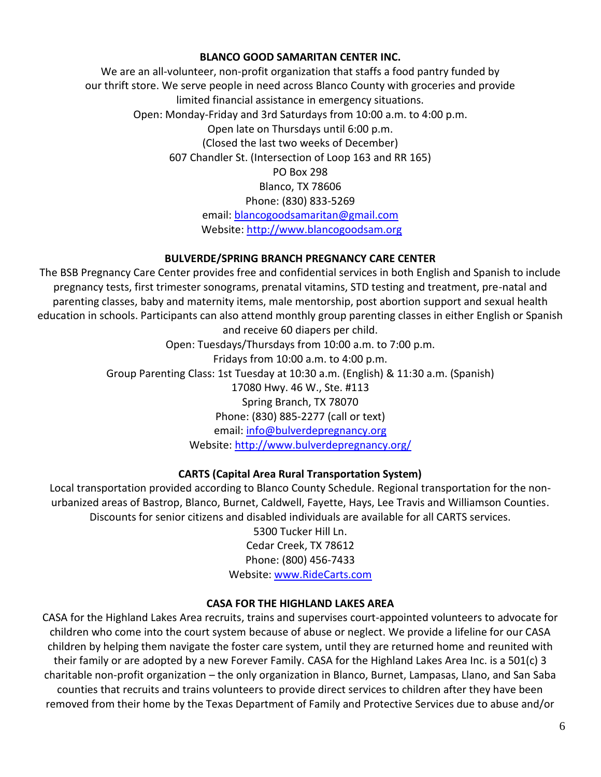## **BLANCO GOOD SAMARITAN CENTER INC.**

<span id="page-9-0"></span>We are an all-volunteer, non-profit organization that staffs a food pantry funded by our thrift store. We serve people in need across Blanco County with groceries and provide limited financial assistance in emergency situations. Open: Monday-Friday and 3rd Saturdays from 10:00 a.m. to 4:00 p.m. Open late on Thursdays until 6:00 p.m. (Closed the last two weeks of December) 607 Chandler St. (Intersection of Loop 163 and RR 165) PO Box 298 Blanco, TX 78606 Phone: (830) 833-5269 email: [blancogoodsamaritan@gmail.com](mailto:blancogoodsamaritan@gmail.com) Website: [http://www.blancogoodsam.org](mailto:TXPrograms@TXAlz.org)

## **BULVERDE/SPRING BRANCH PREGNANCY CARE CENTER**

<span id="page-9-1"></span>The BSB Pregnancy Care Center provides free and confidential services in both English and Spanish to include pregnancy tests, first trimester sonograms, prenatal vitamins, STD testing and treatment, pre-natal and parenting classes, baby and maternity items, male mentorship, post abortion support and sexual health education in schools. Participants can also attend monthly group parenting classes in either English or Spanish

and receive 60 diapers per child. Open: Tuesdays/Thursdays from 10:00 a.m. to 7:00 p.m. Fridays from 10:00 a.m. to 4:00 p.m. Group Parenting Class: 1st Tuesday at 10:30 a.m. (English) & 11:30 a.m. (Spanish) 17080 Hwy. 46 W., Ste. #113 Spring Branch, TX 78070 Phone: (830) 885-2277 (call or text) email: [info@bulverdepregnancy.org](http://www.blancopharmacy.com/) Website: [http://www.bulverdepregnancy.org/](https://texaslawhelp.org/home)

## **CARTS (Capital Area Rural Transportation System)**

<span id="page-9-2"></span>Local transportation provided according to Blanco County Schedule. Regional transportation for the nonurbanized areas of Bastrop, Blanco, Burnet, Caldwell, Fayette, Hays, Lee Travis and Williamson Counties. Discounts for senior citizens and disabled individuals are available for all CARTS services.

5300 Tucker Hill Ln. Cedar Creek, TX 78612 Phone: (800) 456-7433 Website: [www.RideCarts.com](https://www.texvet.org/)

## **CASA FOR THE HIGHLAND LAKES AREA**

<span id="page-9-3"></span>CASA for the Highland Lakes Area recruits, trains and supervises court-appointed volunteers to advocate for children who come into the court system because of abuse or neglect. We provide a lifeline for our CASA children by helping them navigate the foster care system, until they are returned home and reunited with their family or are adopted by a new Forever Family. CASA for the Highland Lakes Area Inc. is a 501(c) 3 charitable non-profit organization – the only organization in Blanco, Burnet, Lampasas, Llano, and San Saba counties that recruits and trains volunteers to provide direct services to children after they have been removed from their home by the Texas Department of Family and Protective Services due to abuse and/or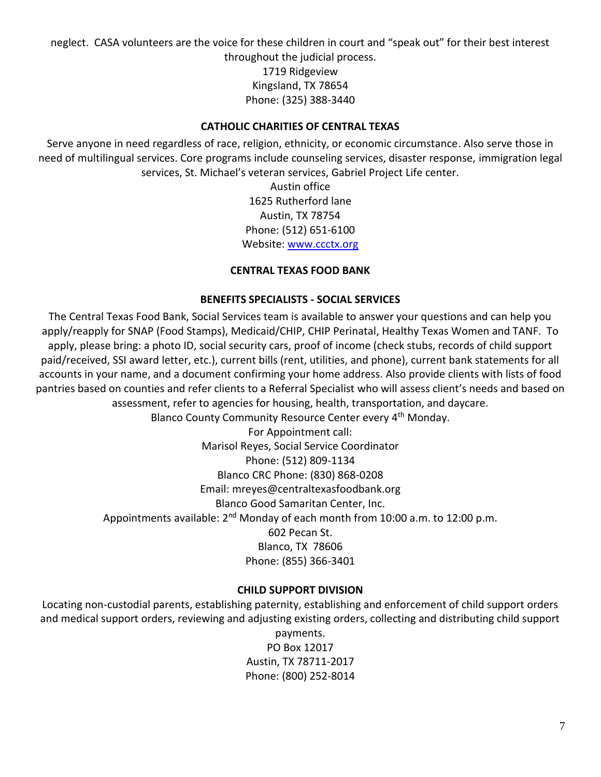neglect. CASA volunteers are the voice for these children in court and "speak out" for their best interest throughout the judicial process.

1719 Ridgeview Kingsland, TX 78654 Phone: (325) 388-3440

## **CATHOLIC CHARITIES OF CENTRAL TEXAS**

<span id="page-10-0"></span>Serve anyone in need regardless of race, religion, ethnicity, or economic circumstance. Also serve those in need of multilingual services. Core programs include counseling services, disaster response, immigration legal services, St. Michael's veteran services, Gabriel Project Life center.

> Austin office 1625 Rutherford lane Austin, TX 78754 Phone: (512) 651-6100 Website: [www.ccctx.org](http://www.ccctx.org/)

## **CENTRAL TEXAS FOOD BANK**

## **BENEFITS SPECIALISTS - SOCIAL SERVICES**

<span id="page-10-2"></span><span id="page-10-1"></span>The Central Texas Food Bank, Social Services team is available to answer your questions and can help you apply/reapply for SNAP (Food Stamps), Medicaid/CHIP, CHIP Perinatal, Healthy Texas Women and TANF. To apply, please bring: a photo ID, social security cars, proof of income (check stubs, records of child support paid/received, SSI award letter, etc.), current bills (rent, utilities, and phone), current bank statements for all accounts in your name, and a document confirming your home address. Also provide clients with lists of food pantries based on counties and refer clients to a Referral Specialist who will assess client's needs and based on assessment, refer to agencies for housing, health, transportation, and daycare.

Blanco County Community Resource Center every 4<sup>th</sup> Monday.

For Appointment call: Marisol Reyes, Social Service Coordinator Phone: (512) 809-1134 Blanco CRC Phone: (830) 868-0208 Email: mreyes@centraltexasfoodbank.org Blanco Good Samaritan Center, Inc. Appointments available: 2<sup>nd</sup> Monday of each month from 10:00 a.m. to 12:00 p.m. 602 Pecan St. Blanco, TX 78606 Phone: (855) 366-3401

## **CHILD SUPPORT DIVISION**

<span id="page-10-3"></span>Locating non-custodial parents, establishing paternity, establishing and enforcement of child support orders and medical support orders, reviewing and adjusting existing orders, collecting and distributing child support

> payments. PO Box 12017 Austin, TX 78711-2017 Phone: (800) 252-8014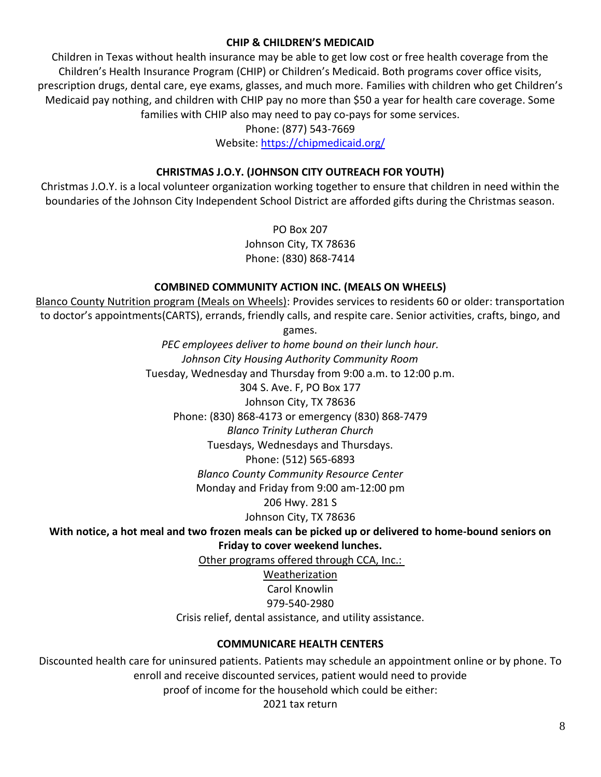## **CHIP & CHILDREN'S MEDICAID**

<span id="page-11-0"></span>Children in Texas without health insurance may be able to get low cost or free health coverage from the Children's Health Insurance Program (CHIP) or Children's Medicaid. Both programs cover office visits, prescription drugs, dental care, eye exams, glasses, and much more. Families with children who get Children's Medicaid pay nothing, and children with CHIP pay no more than \$50 a year for health care coverage. Some families with CHIP also may need to pay co-pays for some services.

Phone: (877) 543-7669

Website: [https://chipmedicaid.org/](mailto:Marjorie.douglas@dshs.texas.gov)

## **CHRISTMAS J.O.Y. (JOHNSON CITY OUTREACH FOR YOUTH)**

<span id="page-11-1"></span>Christmas J.O.Y. is a local volunteer organization working together to ensure that children in need within the boundaries of the Johnson City Independent School District are afforded gifts during the Christmas season.

> PO Box 207 Johnson City, TX 78636 Phone: (830) 868-7414

## **COMBINED COMMUNITY ACTION INC. (MEALS ON WHEELS)**

<span id="page-11-2"></span>Blanco County Nutrition program (Meals on Wheels): Provides services to residents 60 or older: transportation to doctor's appointments(CARTS), errands, friendly calls, and respite care. Senior activities, crafts, bingo, and

games.

*PEC employees deliver to home bound on their lunch hour. Johnson City Housing Authority Community Room* Tuesday, Wednesday and Thursday from 9:00 a.m. to 12:00 p.m. 304 S. Ave. F, PO Box 177 Johnson City, TX 78636 Phone: (830) 868-4173 or emergency (830) 868-7479 *Blanco Trinity Lutheran Church*  Tuesdays, Wednesdays and Thursdays. Phone: (512) 565-6893 *Blanco County Community Resource Center* Monday and Friday from 9:00 am-12:00 pm 206 Hwy. 281 S Johnson City, TX 78636

**With notice, a hot meal and two frozen meals can be picked up or delivered to home-bound seniors on** 

**Friday to cover weekend lunches.**

Other programs offered through CCA, Inc.:

Weatherization

Carol Knowlin

979-540-2980

Crisis relief, dental assistance, and utility assistance.

## **COMMUNICARE HEALTH CENTERS**

<span id="page-11-3"></span>Discounted health care for uninsured patients. Patients may schedule an appointment online or by phone. To enroll and receive discounted services, patient would need to provide

proof of income for the household which could be either:

2021 tax return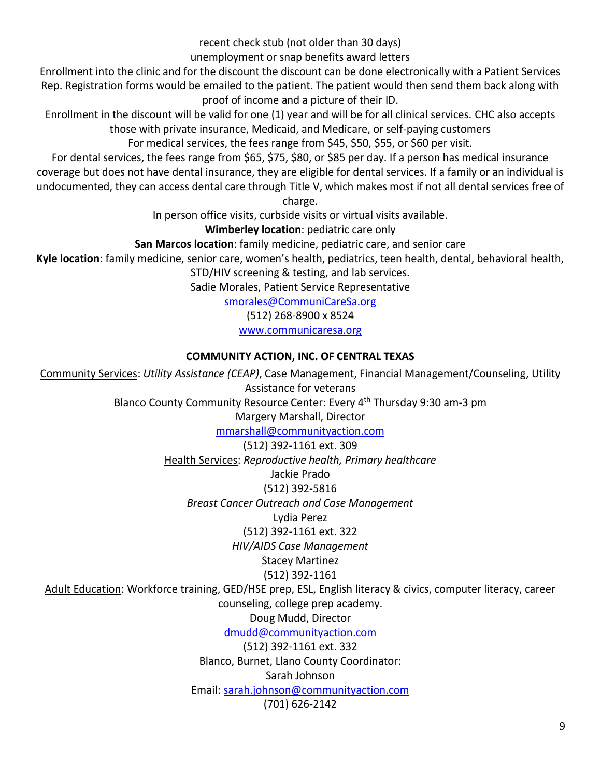recent check stub (not older than 30 days)

unemployment or snap benefits award letters

Enrollment into the clinic and for the discount the discount can be done electronically with a Patient Services Rep. Registration forms would be emailed to the patient. The patient would then send them back along with proof of income and a picture of their ID.

Enrollment in the discount will be valid for one (1) year and will be for all clinical services. CHC also accepts those with private insurance, Medicaid, and Medicare, or self-paying customers

For medical services, the fees range from \$45, \$50, \$55, or \$60 per visit.

For dental services, the fees range from \$65, \$75, \$80, or \$85 per day. If a person has medical insurance coverage but does not have dental insurance, they are eligible for dental services. If a family or an individual is undocumented, they can access dental care through Title V, which makes most if not all dental services free of

charge.

In person office visits, curbside visits or virtual visits available.

**Wimberley location**: pediatric care only

**San Marcos location**: family medicine, pediatric care, and senior care

**Kyle location**: family medicine, senior care, women's health, pediatrics, teen health, dental, behavioral health,

STD/HIV screening & testing, and lab services.

Sadie Morales, Patient Service Representative

[smorales@CommuniCareSa.org](mailto:bryan@phoenixtx.org)

(512) 268-8900 x 8524

[www.communicaresa.org](http://www.phoenixtx.org/)

## **COMMUNITY ACTION, INC. OF CENTRAL TEXAS**

<span id="page-12-0"></span>Community Services: *Utility Assistance (CEAP)*, Case Management, Financial Management/Counseling, Utility Assistance for veterans Blanco County Community Resource Center: Every 4<sup>th</sup> Thursday 9:30 am-3 pm Margery Marshall, Director [mmarshall@communityaction.com](mailto:cleonard@mhm.org) (512) 392-1161 ext. 309 Health Services: *Reproductive health, Primary healthcare* Jackie Prado (512) 392-5816 *Breast Cancer Outreach and Case Management* Lydia Perez (512) 392-1161 ext. 322 *HIV/AIDS Case Management* Stacey Martinez (512) 392-1161 Adult Education: Workforce training, GED/HSE prep, ESL, English literacy & civics, computer literacy, career counseling, college prep academy. Doug Mudd, Director [dmudd@communityaction.com](http://www.aaacap.org/) (512) 392-1161 ext. 332 Blanco, Burnet, Llano County Coordinator: Sarah Johnson Email: [sarah.johnson@communityaction.com](mailto:sarah.johnson@communityaction.com) (701) 626-2142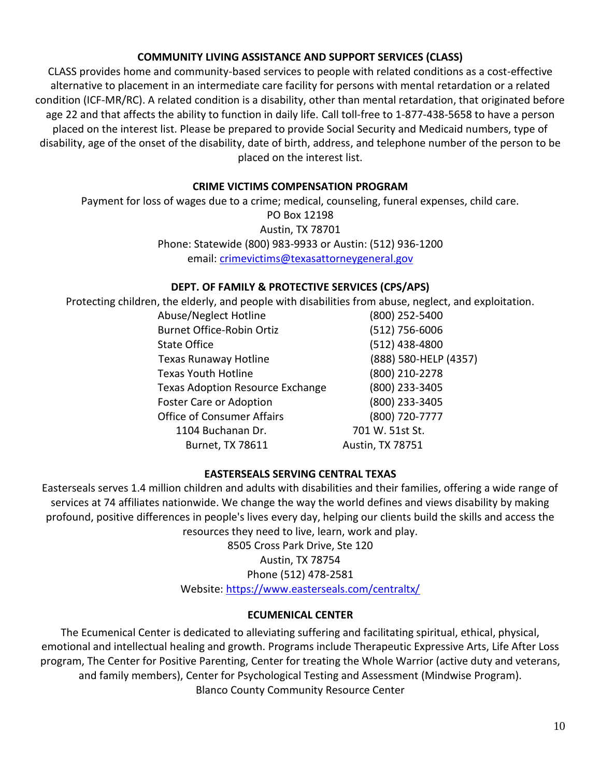## **COMMUNITY LIVING ASSISTANCE AND SUPPORT SERVICES (CLASS)**

<span id="page-13-0"></span>CLASS provides home and community-based services to people with related conditions as a cost-effective alternative to placement in an intermediate care facility for persons with mental retardation or a related condition (ICF-MR/RC). A related condition is a disability, other than mental retardation, that originated before age 22 and that affects the ability to function in daily life. Call toll-free to 1-877-438-5658 to have a person placed on the interest list. Please be prepared to provide Social Security and Medicaid numbers, type of disability, age of the onset of the disability, date of birth, address, and telephone number of the person to be placed on the interest list.

## **CRIME VICTIMS COMPENSATION PROGRAM**

<span id="page-13-1"></span>Payment for loss of wages due to a crime; medical, counseling, funeral expenses, child care. PO Box 12198 Austin, TX 78701 Phone: Statewide (800) 983-9933 or Austin: (512) 936-1200 email: [crimevictims@texasattorneygeneral.gov](http://www4.esc13.net/migrant)

## **DEPT. OF FAMILY & PROTECTIVE SERVICES (CPS/APS)**

<span id="page-13-2"></span>Protecting children, the elderly, and people with disabilities from abuse, neglect, and exploitation.

| Abuse/Neglect Hotline                   | (800) 252-5400        |
|-----------------------------------------|-----------------------|
| <b>Burnet Office-Robin Ortiz</b>        | (512) 756-6006        |
| <b>State Office</b>                     | (512) 438-4800        |
| <b>Texas Runaway Hotline</b>            | (888) 580-HELP (4357) |
| <b>Texas Youth Hotline</b>              | (800) 210-2278        |
| <b>Texas Adoption Resource Exchange</b> | (800) 233-3405        |
| <b>Foster Care or Adoption</b>          | (800) 233-3405        |
| <b>Office of Consumer Affairs</b>       | (800) 720-7777        |
| 1104 Buchanan Dr.                       | 701 W. 51st St.       |
| Burnet, TX 78611                        | Austin, TX 78751      |

## **EASTERSEALS SERVING CENTRAL TEXAS**

<span id="page-13-3"></span>Easterseals serves 1.4 million children and adults with disabilities and their families, offering a wide range of services at 74 affiliates nationwide. We change the way the world defines and views disability by making profound, positive differences in people's lives every day, helping our clients build the skills and access the resources they need to live, learn, work and play.

8505 Cross Park Drive, Ste 120 Austin, TX 78754 Phone (512) 478-2581

## Website: [https://www.easterseals.com/centraltx/](http://www.wondersandworries.org/covid-19-services-resources/)

## **ECUMENICAL CENTER**

<span id="page-13-4"></span>The Ecumenical Center is dedicated to alleviating suffering and facilitating spiritual, ethical, physical, emotional and intellectual healing and growth. Programs include Therapeutic Expressive Arts, Life After Loss program, The Center for Positive Parenting, Center for treating the Whole Warrior (active duty and veterans, and family members), Center for Psychological Testing and Assessment (Mindwise Program). Blanco County Community Resource Center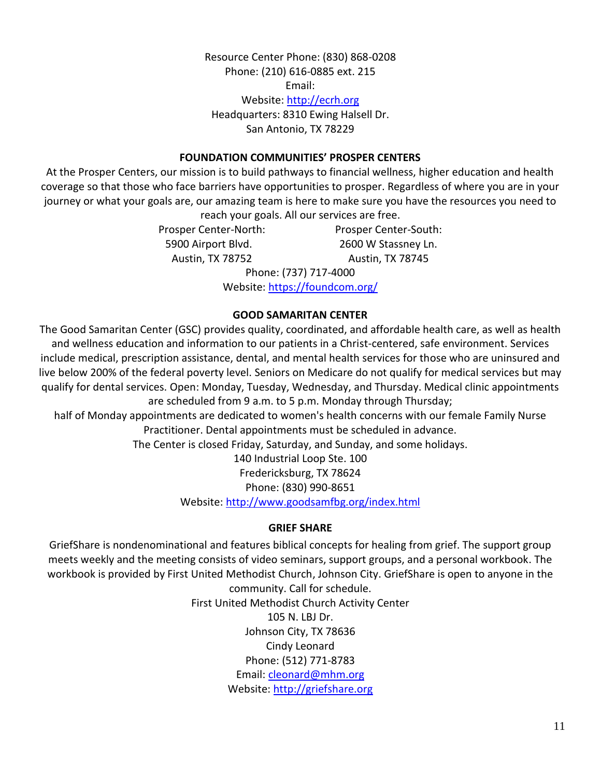Resource Center Phone: (830) 868-0208 Phone: (210) 616-0885 ext. 215 Email: Website: [http://ecrh.org](http://www.hayscaldwellcouncil.org/) Headquarters: 8310 Ewing Halsell Dr. San Antonio, TX 78229

#### **FOUNDATION COMMUNITIES' PROSPER CENTERS**

<span id="page-14-0"></span>At the Prosper Centers, our mission is to build pathways to financial wellness, higher education and health coverage so that those who face barriers have opportunities to prosper. Regardless of where you are in your journey or what your goals are, our amazing team is here to make sure you have the resources you need to

reach your goals. All our services are free.

Prosper Center-North: Prosper Center-South: 5900 Airport Blvd. 2600 W Stassney Ln. Austin, TX 78752 Austin, TX 78745

> Phone: (737) 717-4000 Website: [https://foundcom.org/](mailto:gpowers@endeavors.org)

#### **GOOD SAMARITAN CENTER**

<span id="page-14-1"></span>The Good Samaritan Center (GSC) provides quality, coordinated, and affordable health care, as well as health and wellness education and information to our patients in a Christ-centered, safe environment. Services include medical, prescription assistance, dental, and mental health services for those who are uninsured and live below 200% of the federal poverty level. Seniors on Medicare do not qualify for medical services but may qualify for dental services. Open: Monday, Tuesday, Wednesday, and Thursday. Medical clinic appointments are scheduled from 9 a.m. to 5 p.m. Monday through Thursday;

half of Monday appointments are dedicated to women's health concerns with our female Family Nurse Practitioner. Dental appointments must be scheduled in advance.

The Center is closed Friday, Saturday, and Sunday, and some holidays.

140 Industrial Loop Ste. 100 Fredericksburg, TX 78624 Phone: (830) 990-8651 Website: [http://www.goodsamfbg.org/index.html](http://www.sba.gov/funding-programs/loans/coronavirus-relief-options/paycheck-protec-)

#### **GRIEF SHARE**

<span id="page-14-2"></span>GriefShare is nondenominational and features biblical concepts for healing from grief. The support group meets weekly and the meeting consists of video seminars, support groups, and a personal workbook. The workbook is provided by First United Methodist Church, Johnson City. GriefShare is open to anyone in the

> community. Call for schedule. First United Methodist Church Activity Center 105 N. LBJ Dr. Johnson City, TX 78636 Cindy Leonard Phone: (512) 771-8783 Email: [cleonard@mhm.org](http://www.ssa.gov/) Website: [http://griefshare.org](https://www.tsl.texas.gov/tbp)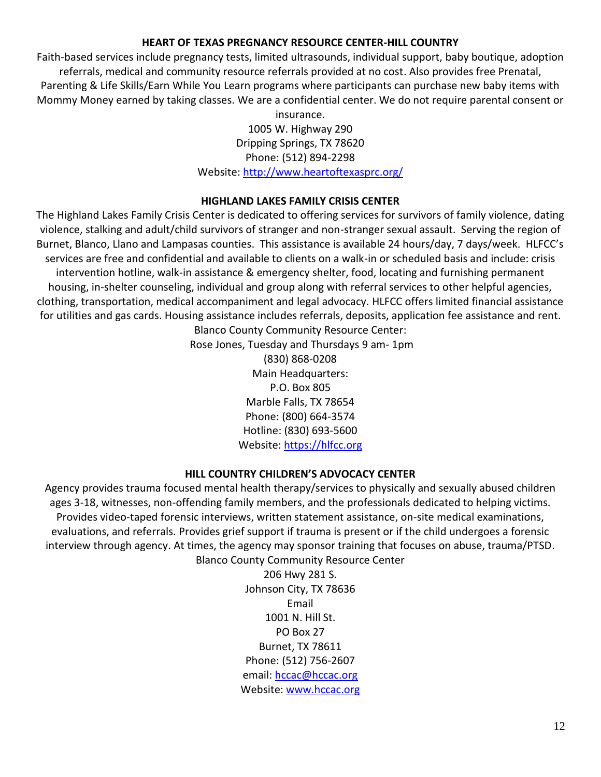## **HEART OF TEXAS PREGNANCY RESOURCE CENTER-HILL COUNTRY**

<span id="page-15-0"></span>Faith-based services include pregnancy tests, limited ultrasounds, individual support, baby boutique, adoption referrals, medical and community resource referrals provided at no cost. Also provides free Prenatal, Parenting & Life Skills/Earn While You Learn programs where participants can purchase new baby items with Mommy Money earned by taking classes. We are a confidential center. We do not require parental consent or

insurance. 1005 W. Highway 290 Dripping Springs, TX 78620 Phone: (512) 894-2298 Website: [http://www.heartoftexasprc.org/](mailto:hope@honorveteransnow.org)

#### **HIGHLAND LAKES FAMILY CRISIS CENTER**

<span id="page-15-1"></span>The Highland Lakes Family Crisis Center is dedicated to offering services for survivors of family violence, dating violence, stalking and adult/child survivors of stranger and non-stranger sexual assault. Serving the region of Burnet, Blanco, Llano and Lampasas counties. This assistance is available 24 hours/day, 7 days/week. HLFCC's services are free and confidential and available to clients on a walk-in or scheduled basis and include: crisis intervention hotline, walk-in assistance & emergency shelter, food, locating and furnishing permanent housing, in-shelter counseling, individual and group along with referral services to other helpful agencies, clothing, transportation, medical accompaniment and legal advocacy. HLFCC offers limited financial assistance for utilities and gas cards. Housing assistance includes referrals, deposits, application fee assistance and rent.

Blanco County Community Resource Center: Rose Jones, Tuesday and Thursdays 9 am- 1pm (830) 868-0208 Main Headquarters: P.O. Box 805 Marble Falls, TX 78654 Phone: (800) 664-3574 Hotline: (830) 693-5600 Website: [https://hlfcc.org](https://hlfcc.org/)

## **HILL COUNTRY CHILDREN'S ADVOCACY CENTER**

<span id="page-15-2"></span>Agency provides trauma focused mental health therapy/services to physically and sexually abused children ages 3-18, witnesses, non-offending family members, and the professionals dedicated to helping victims. Provides video-taped forensic interviews, written statement assistance, on-site medical examinations, evaluations, and referrals. Provides grief support if trauma is present or if the child undergoes a forensic interview through agency. At times, the agency may sponsor training that focuses on abuse, trauma/PTSD. Blanco County Community Resource Center

> 206 Hwy 281 S. Johnson City, TX 78636 Email 1001 N. Hill St. PO Box 27 Burnet, TX 78611 Phone: (512) 756-2607 email: [hccac@hccac.org](https://www.texasadvocacyproject.org/) Website: [www.hccac.org](http://www.comptroller.texas.gov/)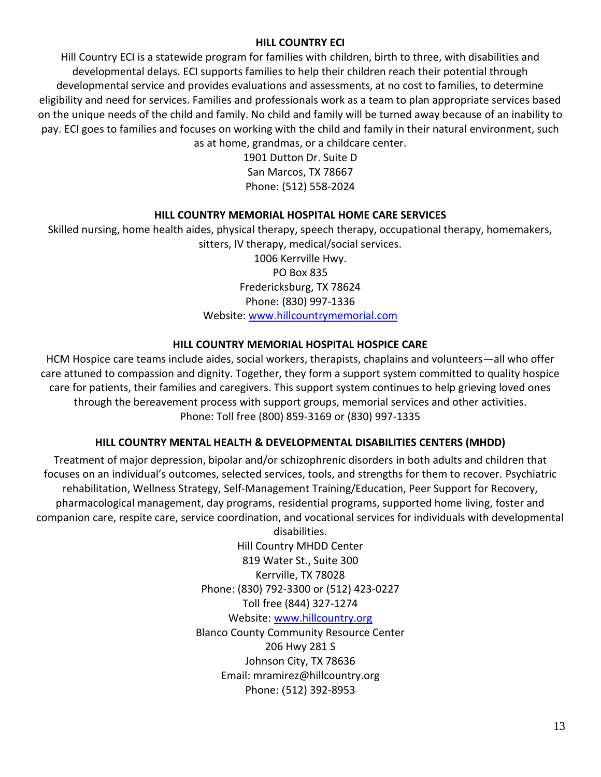## **HILL COUNTRY ECI**

<span id="page-16-0"></span>Hill Country ECI is a statewide program for families with children, birth to three, with disabilities and developmental delays. ECI supports families to help their children reach their potential through developmental service and provides evaluations and assessments, at no cost to families, to determine eligibility and need for services. Families and professionals work as a team to plan appropriate services based on the unique needs of the child and family. No child and family will be turned away because of an inability to pay. ECI goes to families and focuses on working with the child and family in their natural environment, such as at home, grandmas, or a childcare center.

> 1901 Dutton Dr. Suite D San Marcos, TX 78667 Phone: (512) 558-2024

## **HILL COUNTRY MEMORIAL HOSPITAL HOME CARE SERVICES**

<span id="page-16-1"></span>Skilled nursing, home health aides, physical therapy, speech therapy, occupational therapy, homemakers, sitters, IV therapy, medical/social services. 1006 Kerrville Hwy. PO Box 835 Fredericksburg, TX 78624 Phone: (830) 997-1336 Website: [www.hillcountrymemorial.com](http://www.healing-arts.net/wp/services/primary-care/)

## **HILL COUNTRY MEMORIAL HOSPITAL HOSPICE CARE**

<span id="page-16-2"></span>HCM Hospice care teams include aides, social workers, therapists, chaplains and volunteers—all who offer care attuned to compassion and dignity. Together, they form a support system committed to quality hospice care for patients, their families and caregivers. This support system continues to help grieving loved ones through the bereavement process with support groups, memorial services and other activities. Phone: Toll free (800) 859-3169 or (830) 997-1335

## **HILL COUNTRY MENTAL HEALTH & DEVELOPMENTAL DISABILITIES CENTERS (MHDD)**

<span id="page-16-3"></span>Treatment of major depression, bipolar and/or schizophrenic disorders in both adults and children that focuses on an individual's outcomes, selected services, tools, and strengths for them to recover. Psychiatric rehabilitation, Wellness Strategy, Self-Management Training/Education, Peer Support for Recovery, pharmacological management, day programs, residential programs, supported home living, foster and companion care, respite care, service coordination, and vocational services for individuals with developmental

> disabilities. Hill Country MHDD Center 819 Water St., Suite 300 Kerrville, TX 78028 Phone: (830) 792-3300 or (512) 423-0227 Toll free (844) 327-1274 Website: [www.hillcountry.org](https://www.va.gov/healthbenefits/access/emergency_care.asp) Blanco County Community Resource Center 206 Hwy 281 S Johnson City, TX 78636 Email: mramirez@hillcountry.org Phone: (512) 392-8953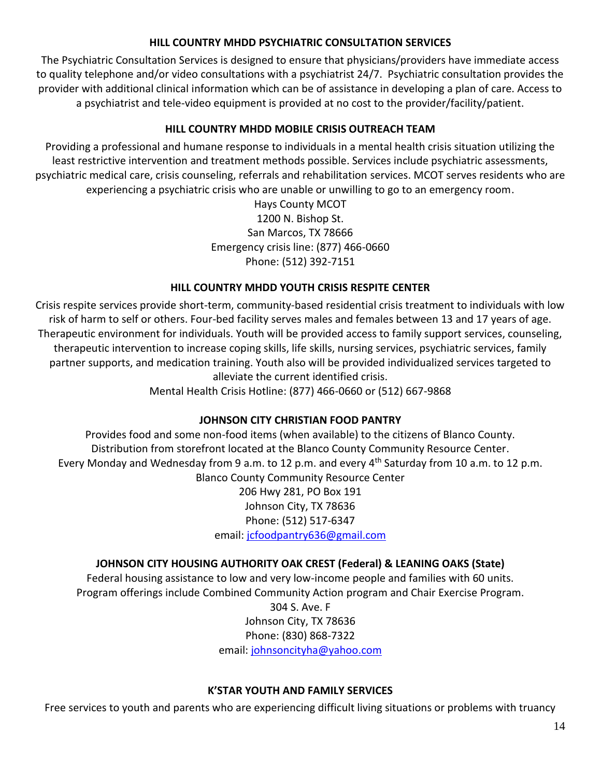## **HILL COUNTRY MHDD PSYCHIATRIC CONSULTATION SERVICES**

<span id="page-17-0"></span>The Psychiatric Consultation Services is designed to ensure that physicians/providers have immediate access to quality telephone and/or video consultations with a psychiatrist 24/7. Psychiatric consultation provides the provider with additional clinical information which can be of assistance in developing a plan of care. Access to a psychiatrist and tele-video equipment is provided at no cost to the provider/facility/patient.

## **HILL COUNTRY MHDD MOBILE CRISIS OUTREACH TEAM**

<span id="page-17-1"></span>Providing a professional and humane response to individuals in a mental health crisis situation utilizing the least restrictive intervention and treatment methods possible. Services include psychiatric assessments, psychiatric medical care, crisis counseling, referrals and rehabilitation services. MCOT serves residents who are experiencing a psychiatric crisis who are unable or unwilling to go to an emergency room.

> Hays County MCOT 1200 N. Bishop St. San Marcos, TX 78666 Emergency crisis line: (877) 466-0660 Phone: (512) 392-7151

## **HILL COUNTRY MHDD YOUTH CRISIS RESPITE CENTER**

<span id="page-17-2"></span>Crisis respite services provide short-term, community-based residential crisis treatment to individuals with low risk of harm to self or others. Four-bed facility serves males and females between 13 and 17 years of age. Therapeutic environment for individuals. Youth will be provided access to family support services, counseling, therapeutic intervention to increase coping skills, life skills, nursing services, psychiatric services, family partner supports, and medication training. Youth also will be provided individualized services targeted to alleviate the current identified crisis.

Mental Health Crisis Hotline: (877) 466-0660 or (512) 667-9868

## **JOHNSON CITY CHRISTIAN FOOD PANTRY**

<span id="page-17-3"></span>Provides food and some non-food items (when available) to the citizens of Blanco County. Distribution from storefront located at the Blanco County Community Resource Center. Every Monday and Wednesday from 9 a.m. to 12 p.m. and every 4<sup>th</sup> Saturday from 10 a.m. to 12 p.m. Blanco County Community Resource Center

> 206 Hwy 281, PO Box 191 Johnson City, TX 78636 Phone: (512) 517-6347 email: [jcfoodpantry636@gmail.com](https://hhs.texas.gov/services/health/star-kids)

## **JOHNSON CITY HOUSING AUTHORITY OAK CREST (Federal) & LEANING OAKS (State)**

<span id="page-17-4"></span>Federal housing assistance to low and very low-income people and families with 60 units.

Program offerings include Combined Community Action program and Chair Exercise Program.

304 S. Ave. F

Johnson City, TX 78636

Phone: (830) 868-7322

email[: johnsoncityha@yahoo.com](mailto:David.Ross@dshs.texas.gov)

## **K'STAR YOUTH AND FAMILY SERVICES**

<span id="page-17-5"></span>Free services to youth and parents who are experiencing difficult living situations or problems with truancy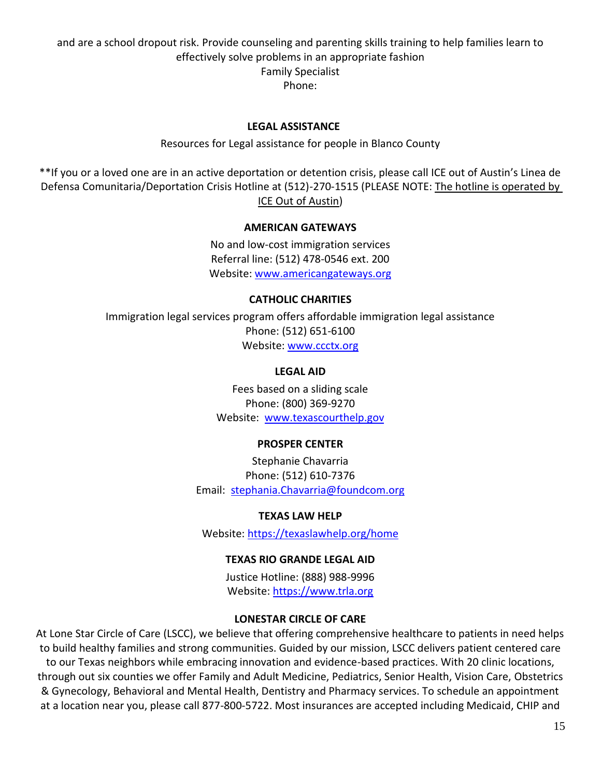and are a school dropout risk. Provide counseling and parenting skills training to help families learn to effectively solve problems in an appropriate fashion Family Specialist Phone:

#### **LEGAL ASSISTANCE**

#### Resources for Legal assistance for people in Blanco County

<span id="page-18-1"></span><span id="page-18-0"></span>\*\*If you or a loved one are in an active deportation or detention crisis, please call ICE out of Austin's Linea de Defensa Comunitaria/Deportation Crisis Hotline at (512)-270-1515 (PLEASE NOTE: The hotline is operated by ICE Out of Austin)

#### **AMERICAN GATEWAYS**

No and low-cost immigration services Referral line: (512) 478-0546 ext. 200 Website: [www.americangateways.org](http://www.txhha.com/)

#### **CATHOLIC CHARITIES**

<span id="page-18-4"></span><span id="page-18-3"></span><span id="page-18-2"></span>Immigration legal services program offers affordable immigration legal assistance Phone: (512) 651-6100 Website: [www.ccctx.org](https://crctxinc-my.sharepoint.com/personal/blanco_crctx_org/Documents/Help_Services%20Guide/www.ccctx.org)

#### **LEGAL AID**

Fees based on a sliding scale Phone: (800) 369-9270 Website: [www.texascourthelp.gov](http://trla.org/)

#### **PROSPER CENTER**

Stephanie Chavarria Phone: (512) 610-7376 Email: [stephania.Chavarria@foundcom.org](http://www.safeaustin.org/)

#### **TEXAS LAW HELP**

Website: [https://texaslawhelp.org/home](http://www.twogetherintexas.com/)

#### **TEXAS RIO GRANDE LEGAL AID**

Justice Hotline: (888) 988-9996 Website: [https://www.trla.org](http://www.cdc.gov/)

#### **LONESTAR CIRCLE OF CARE**

<span id="page-18-7"></span><span id="page-18-6"></span><span id="page-18-5"></span>At Lone Star Circle of Care (LSCC), we believe that offering comprehensive healthcare to patients in need helps to build healthy families and strong communities. Guided by our mission, LSCC delivers patient centered care to our Texas neighbors while embracing innovation and evidence-based practices. With 20 clinic locations, through out six counties we offer Family and Adult Medicine, Pediatrics, Senior Health, Vision Care, Obstetrics & Gynecology, Behavioral and Mental Health, Dentistry and Pharmacy services. To schedule an appointment at a location near you, please call 877-800-5722. Most insurances are accepted including Medicaid, CHIP and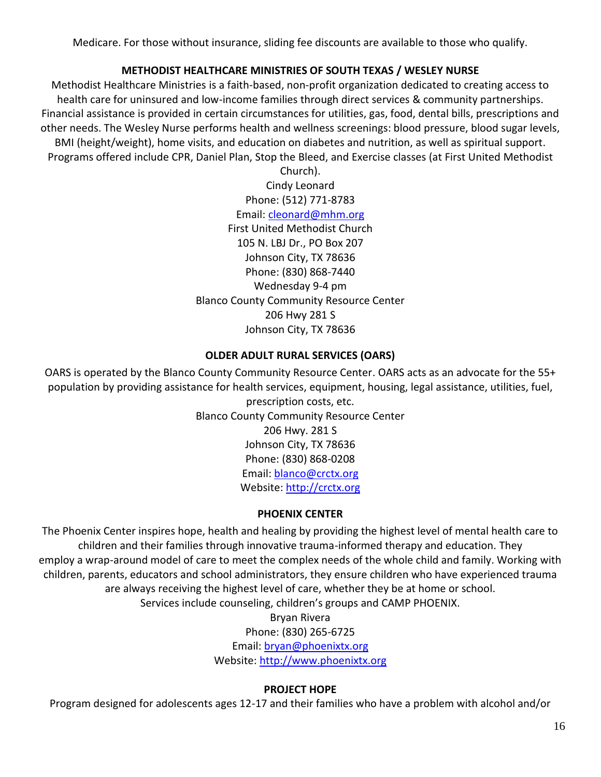Medicare. For those without insurance, sliding fee discounts are available to those who qualify.

## **METHODIST HEALTHCARE MINISTRIES OF SOUTH TEXAS / WESLEY NURSE**

<span id="page-19-0"></span>Methodist Healthcare Ministries is a faith-based, non-profit organization dedicated to creating access to health care for uninsured and low-income families through direct services & community partnerships. Financial assistance is provided in certain circumstances for utilities, gas, food, dental bills, prescriptions and other needs. The Wesley Nurse performs health and wellness screenings: blood pressure, blood sugar levels, BMI (height/weight), home visits, and education on diabetes and nutrition, as well as spiritual support. Programs offered include CPR, Daniel Plan, Stop the Bleed, and Exercise classes (at First United Methodist

> Church). Cindy Leonard Phone: (512) 771-8783 Email: [cleonard@mhm.org](http://www.hhs.texas.gov/PEBT) First United Methodist Church 105 N. LBJ Dr., PO Box 207 Johnson City, TX 78636 Phone: (830) 868-7440 Wednesday 9-4 pm Blanco County Community Resource Center 206 Hwy 281 S Johnson City, TX 78636

## **OLDER ADULT RURAL SERVICES (OARS)**

<span id="page-19-1"></span>OARS is operated by the Blanco County Community Resource Center. OARS acts as an advocate for the 55+ population by providing assistance for health services, equipment, housing, legal assistance, utilities, fuel,

prescription costs, etc. Blanco County Community Resource Center 206 Hwy. 281 S Johnson City, TX 78636 Phone: (830) 868-0208 Email: [blanco@crctx.org](https://www.americangateways.org/) Website: [http://crctx.org](mailto:blanco@crctx.org)

## **PHOENIX CENTER**

<span id="page-19-2"></span>The Phoenix Center inspires hope, health and healing by providing the highest level of mental health care to children and their families through innovative trauma-informed therapy and education. They employ a wrap-around model of care to meet the complex needs of the whole child and family. Working with children, parents, educators and school administrators, they ensure children who have experienced trauma are always receiving the highest level of care, whether they be at home or school.

Services include counseling, children's groups and CAMP PHOENIX.

Bryan Rivera

Phone: (830) 265-6725

Email: [bryan@phoenixtx.org](http://www.goodsamfbg.org/index.html)

Website: [http://www.phoenixtx.org](http://www.samhsa.gov/find-help/disaster-distress-helpline)

## **PROJECT HOPE**

<span id="page-19-3"></span>Program designed for adolescents ages 12-17 and their families who have a problem with alcohol and/or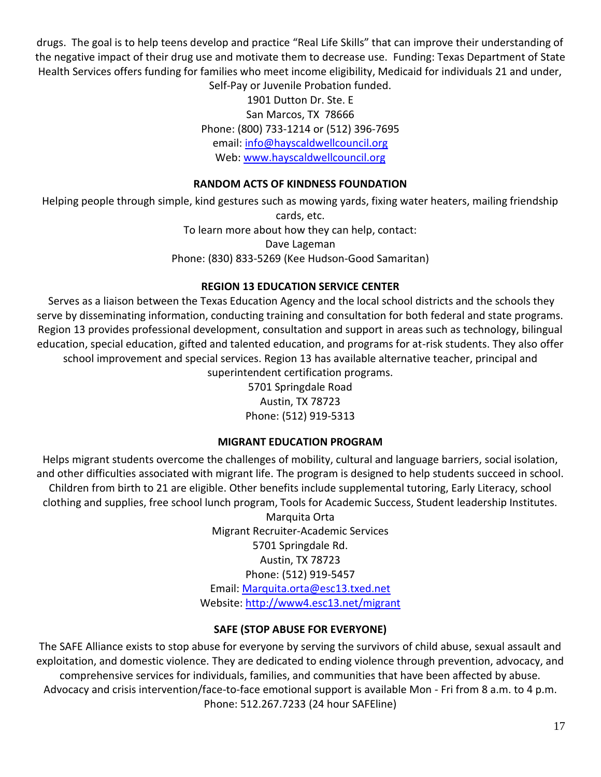drugs. The goal is to help teens develop and practice "Real Life Skills" that can improve their understanding of the negative impact of their drug use and motivate them to decrease use. Funding: Texas Department of State Health Services offers funding for families who meet income eligibility, Medicaid for individuals 21 and under,

Self-Pay or Juvenile Probation funded. 1901 Dutton Dr. Ste. E San Marcos, TX 78666 Phone: (800) 733-1214 or (512) 396-7695 email: [info@hayscaldwellcouncil.org](http://www.blancocovidtest.org/) Web: [www.hayscaldwellcouncil.org](https://www.facebook.com/pages/Blanco-American-Legion-Post-352/426792277422710)

## **RANDOM ACTS OF KINDNESS FOUNDATION**

<span id="page-20-0"></span>Helping people through simple, kind gestures such as mowing yards, fixing water heaters, mailing friendship cards, etc. To learn more about how they can help, contact:

Dave Lageman Phone: (830) 833-5269 (Kee Hudson-Good Samaritan)

## **REGION 13 EDUCATION SERVICE CENTER**

<span id="page-20-1"></span>Serves as a liaison between the Texas Education Agency and the local school districts and the schools they serve by disseminating information, conducting training and consultation for both federal and state programs. Region 13 provides professional development, consultation and support in areas such as technology, bilingual education, special education, gifted and talented education, and programs for at-risk students. They also offer school improvement and special services. Region 13 has available alternative teacher, principal and superintendent certification programs.

5701 Springdale Road Austin, TX 78723 Phone: (512) 919-5313

## **MIGRANT EDUCATION PROGRAM**

<span id="page-20-2"></span>Helps migrant students overcome the challenges of mobility, cultural and language barriers, social isolation, and other difficulties associated with migrant life. The program is designed to help students succeed in school. Children from birth to 21 are eligible. Other benefits include supplemental tutoring, Early Literacy, school clothing and supplies, free school lunch program, Tools for Academic Success, Student leadership Institutes.

> Marquita Orta Migrant Recruiter-Academic Services 5701 Springdale Rd. Austin, TX 78723 Phone: (512) 919-5457 Email: [Marquita.orta@esc13.txed.net](mailto:Marquita.orta@esc13.txed.net) Website: [http://www4.esc13.net/migrant](https://www.dshs.texas.gov/coronavirus/testing.aspx)

## **SAFE (STOP ABUSE FOR EVERYONE)**

<span id="page-20-3"></span>The SAFE Alliance exists to stop abuse for everyone by serving the survivors of child abuse, sexual assault and exploitation, and domestic violence. They are dedicated to ending violence through prevention, advocacy, and comprehensive services for individuals, families, and communities that have been affected by abuse. Advocacy and crisis intervention/face-to-face emotional support is available Mon - Fri from 8 a.m. to 4 p.m. Phone: 512.267.7233 (24 hour SAFEline)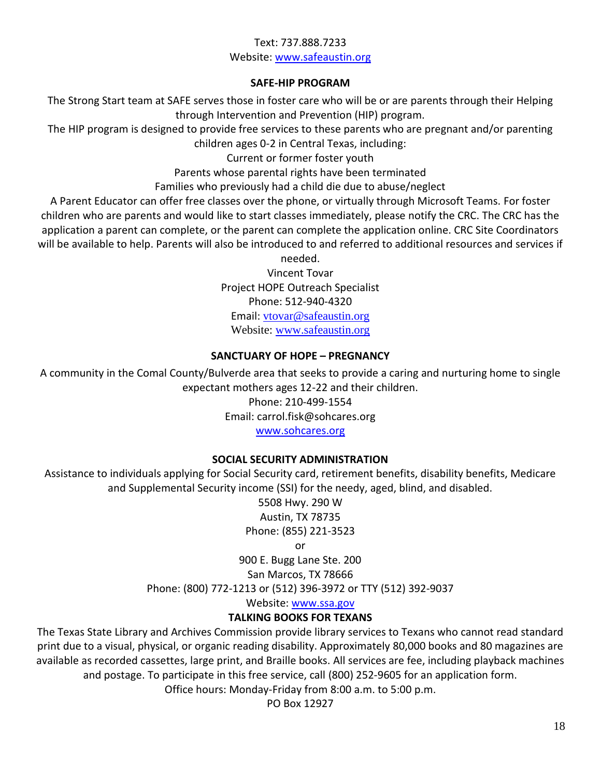## Text: 737.888.7233 Website: [www.safeaustin.org](https://crctxinc-my.sharepoint.com/personal/blanco_crctx_org/Documents/Help_Services%20Guide/cscdtransferagent1@blancocountytexas.org)

## **SAFE-HIP PROGRAM**

<span id="page-21-0"></span>The Strong Start team at SAFE serves those in foster care who will be or are parents through their Helping through Intervention and Prevention (HIP) program.

The HIP program is designed to provide free services to these parents who are pregnant and/or parenting children ages 0-2 in Central Texas, including:

Current or former foster youth

Parents whose parental rights have been terminated

Families who previously had a child die due to abuse/neglect

A Parent Educator can offer free classes over the phone, or virtually through Microsoft Teams. For foster children who are parents and would like to start classes immediately, please notify the CRC. The CRC has the application a parent can complete, or the parent can complete the application online. CRC Site Coordinators will be available to help. Parents will also be introduced to and referred to additional resources and services if

needed.

Vincent Tovar Project HOPE Outreach Specialist Phone: 512-940-4320 Email: [vtovar@safeaustin.org](http://www.usbgfoundation.org/) Website: [www.safeaustin.org](http://www.trla.org/covid19-main)

## **SANCTUARY OF HOPE – PREGNANCY**

<span id="page-21-1"></span>A community in the Comal County/Bulverde area that seeks to provide a caring and nurturing home to single expectant mothers ages 12-22 and their children.

Phone: 210-499-1554

Email: carrol.fisk@sohcares.org

[www.sohcares.org](https://crctxinc-my.sharepoint.com/personal/blanco_crctx_org/Documents/Help_Services%20Guide/Stephen6451@hillcountry.org)

## **SOCIAL SECURITY ADMINISTRATION**

<span id="page-21-2"></span>Assistance to individuals applying for Social Security card, retirement benefits, disability benefits, Medicare and Supplemental Security income (SSI) for the needy, aged, blind, and disabled.

5508 Hwy. 290 W Austin, TX 78735 Phone: (855) 221-3523

or

900 E. Bugg Lane Ste. 200

San Marcos, TX 78666

Phone: (800) 772-1213 or (512) 396-3972 or TTY (512) 392-9037

Website: [www.ssa.gov](https://www.texvet.org/resources/mvpn-hill-country)

## **TALKING BOOKS FOR TEXANS**

<span id="page-21-3"></span>The Texas State Library and Archives Commission provide library services to Texans who cannot read standard print due to a visual, physical, or organic reading disability. Approximately 80,000 books and 80 magazines are available as recorded cassettes, large print, and Braille books. All services are fee, including playback machines and postage. To participate in this free service, call (800) 252-9605 for an application form.

Office hours: Monday-Friday from 8:00 a.m. to 5:00 p.m.

PO Box 12927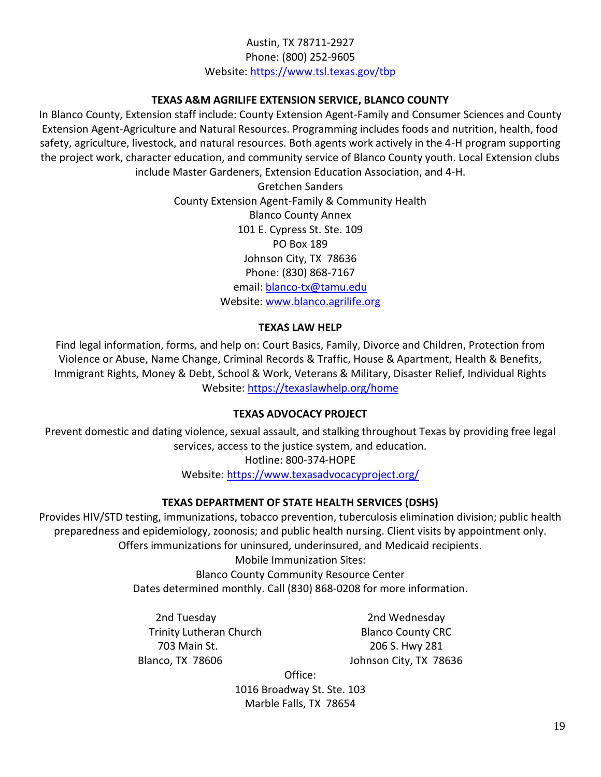## Austin, TX 78711-2927 Phone: (800) 252-9605 Website: [https://www.tsl.texas.gov/tbp](http://www.wondersandworries.org/covid-19-services-resources/)

## **TEXAS A&M AGRILIFE EXTENSION SERVICE, BLANCO COUNTY**

<span id="page-22-0"></span>In Blanco County, Extension staff include: County Extension Agent-Family and Consumer Sciences and County Extension Agent-Agriculture and Natural Resources. Programming includes foods and nutrition, health, food safety, agriculture, livestock, and natural resources. Both agents work actively in the 4-H program supporting the project work, character education, and community service of Blanco County youth. Local Extension clubs include Master Gardeners, Extension Education Association, and 4-H.

> Gretchen Sanders County Extension Agent-Family & Community Health Blanco County Annex 101 E. Cypress St. Ste. 109 PO Box 189 Johnson City, TX 78636 Phone: (830) 868-7167 email: [blanco-tx@tamu.edu](https://www.yourtexasbenefits.com/) Website: [www.blanco.agrilife.org](http://www.blanco.agrilife.org/)

## **TEXAS LAW HELP**

<span id="page-22-1"></span>Find legal information, forms, and help on: Court Basics, Family, Divorce and Children, Protection from Violence or Abuse, Name Change, Criminal Records & Traffic, House & Apartment, Health & Benefits, Immigrant Rights, Money & Debt, School & Work, Veterans & Military, Disaster Relief, Individual Rights Website: <https://texaslawhelp.org/home>

## **TEXAS ADVOCACY PROJECT**

<span id="page-22-2"></span>Prevent domestic and dating violence, sexual assault, and stalking throughout Texas by providing free legal services, access to the justice system, and education.

> Hotline: 800-374-HOPE Website: [https://www.texasadvocacyproject.org/](mailto:blancopharmacyandwellness@gmail.com)

## **TEXAS DEPARTMENT OF STATE HEALTH SERVICES (DSHS)**

<span id="page-22-3"></span>Provides HIV/STD testing, immunizations, tobacco prevention, tuberculosis elimination division; public health preparedness and epidemiology, zoonosis; and public health nursing. Client visits by appointment only. Offers immunizations for uninsured, underinsured, and Medicaid recipients.

Mobile Immunization Sites:

Blanco County Community Resource Center Dates determined monthly. Call (830) 868-0208 for more information.

2nd Tuesday 2nd Wednesday Trinity Lutheran Church Blanco County CRC 703 Main St. 206 S. Hwy 281 Blanco, TX 78606 Johnson City, TX 78636

Office:

1016 Broadway St. Ste. 103 Marble Falls, TX 78654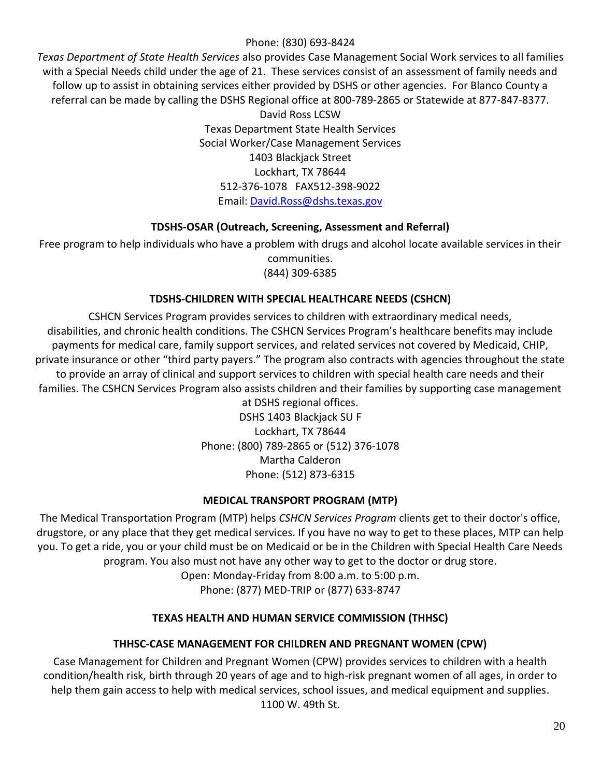## Phone: (830) 693-8424

*Texas Department of State Health Services* also provides Case Management Social Work services to all families with a Special Needs child under the age of 21. These services consist of an assessment of family needs and follow up to assist in obtaining services either provided by DSHS or other agencies. For Blanco County a referral can be made by calling the DSHS Regional office at 800-789-2865 or Statewide at 877-847-8377.

David Ross LCSW Texas Department State Health Services Social Worker/Case Management Services 1403 Blackjack Street Lockhart, TX 78644 512-376-1078 FAX512-398-9022 Email: [David.Ross@dshs.texas.gov](http://www.txalz.org/)

## **TDSHS-OSAR (Outreach, Screening, Assessment and Referral)**

<span id="page-23-0"></span>Free program to help individuals who have a problem with drugs and alcohol locate available services in their communities. (844) 309-6385

## **TDSHS-CHILDREN WITH SPECIAL HEALTHCARE NEEDS (CSHCN)**

<span id="page-23-1"></span>CSHCN Services Program provides services to children with extraordinary medical needs, disabilities, and chronic health conditions. The CSHCN Services Program's healthcare benefits may include payments for medical care, family support services, and related services not covered by Medicaid, CHIP, private insurance or other "third party payers." The program also contracts with agencies throughout the state to provide an array of clinical and support services to children with special health care needs and their families. The CSHCN Services Program also assists children and their families by supporting case management

at DSHS regional offices. DSHS 1403 Blackjack SU F Lockhart, TX 78644 Phone: (800) 789-2865 or (512) 376-1078 Martha Calderon Phone: (512) 873-6315

## **MEDICAL TRANSPORT PROGRAM (MTP)**

<span id="page-23-2"></span>The Medical Transportation Program (MTP) helps *CSHCN Services Program* clients get to their doctor's office, drugstore, or any place that they get medical services. If you have no way to get to these places, MTP can help you. To get a ride, you or your child must be on Medicaid or be in the Children with Special Health Care Needs program. You also must not have any other way to get to the doctor or drug store.

Open: Monday-Friday from 8:00 a.m. to 5:00 p.m.

Phone: (877) MED-TRIP or (877) 633-8747

## **TEXAS HEALTH AND HUMAN SERVICE COMMISSION (THHSC)**

## **THHSC-CASE MANAGEMENT FOR CHILDREN AND PREGNANT WOMEN (CPW)**

<span id="page-23-4"></span><span id="page-23-3"></span>Case Management for Children and Pregnant Women (CPW) provides services to children with a health condition/health risk, birth through 20 years of age and to high-risk pregnant women of all ages, in order to help them gain access to help with medical services, school issues, and medical equipment and supplies. 1100 W. 49th St.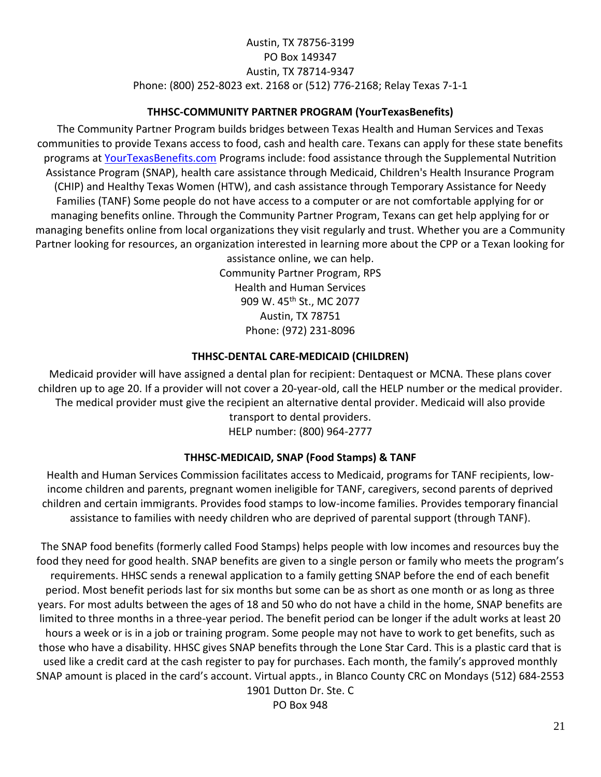## Austin, TX 78756-3199 PO Box 149347 Austin, TX 78714-9347 Phone: (800) 252-8023 ext. 2168 or (512) 776-2168; Relay Texas 7-1-1

## **THHSC-COMMUNITY PARTNER PROGRAM (YourTexasBenefits)**

<span id="page-24-0"></span>The Community Partner Program builds bridges between Texas Health and Human Services and Texas communities to provide Texans access to food, cash and health care. Texans can apply for these state benefits programs at [YourTexasBenefits.com](https://www.southtexas.va.gov/locations/Kerrville_VA_Hospital.asp) Programs include: food assistance through the Supplemental Nutrition Assistance Program (SNAP), health care assistance through Medicaid, Children's Health Insurance Program (CHIP) and Healthy Texas Women (HTW), and cash assistance through Temporary Assistance for Needy Families (TANF) Some people do not have access to a computer or are not comfortable applying for or managing benefits online. Through the Community Partner Program, Texans can get help applying for or managing benefits online from local organizations they visit regularly and trust. Whether you are a Community Partner looking for resources, an organization interested in learning more about the CPP or a Texan looking for

assistance online, we can help. Community Partner Program, RPS Health and Human Services 909 W. 45<sup>th</sup> St., MC 2077 Austin, TX 78751 Phone: (972) 231-8096

## **THHSC-DENTAL CARE-MEDICAID (CHILDREN)**

<span id="page-24-1"></span>Medicaid provider will have assigned a dental plan for recipient: Dentaquest or MCNA. These plans cover children up to age 20. If a provider will not cover a 20-year-old, call the HELP number or the medical provider. The medical provider must give the recipient an alternative dental provider. Medicaid will also provide transport to dental providers.

HELP number: (800) 964-2777

## **THHSC-MEDICAID, SNAP (Food Stamps) & TANF**

<span id="page-24-2"></span>Health and Human Services Commission facilitates access to Medicaid, programs for TANF recipients, lowincome children and parents, pregnant women ineligible for TANF, caregivers, second parents of deprived children and certain immigrants. Provides food stamps to low-income families. Provides temporary financial assistance to families with needy children who are deprived of parental support (through TANF).

The SNAP food benefits (formerly called Food Stamps) helps people with low incomes and resources buy the food they need for good health. SNAP benefits are given to a single person or family who meets the program's requirements. HHSC sends a renewal application to a family getting SNAP before the end of each benefit period. Most benefit periods last for six months but some can be as short as one month or as long as three years. For most adults between the ages of 18 and 50 who do not have a child in the home, SNAP benefits are limited to three months in a three-year period. The benefit period can be longer if the adult works at least 20 hours a week or is in a job or training program. Some people may not have to work to get benefits, such as those who have a disability. HHSC gives SNAP benefits through the Lone Star Card. This is a plastic card that is used like a credit card at the cash register to pay for purchases. Each month, the family's approved monthly SNAP amount is placed in the card's account. Virtual appts., in Blanco County CRC on Mondays (512) 684-2553

1901 Dutton Dr. Ste. C PO Box 948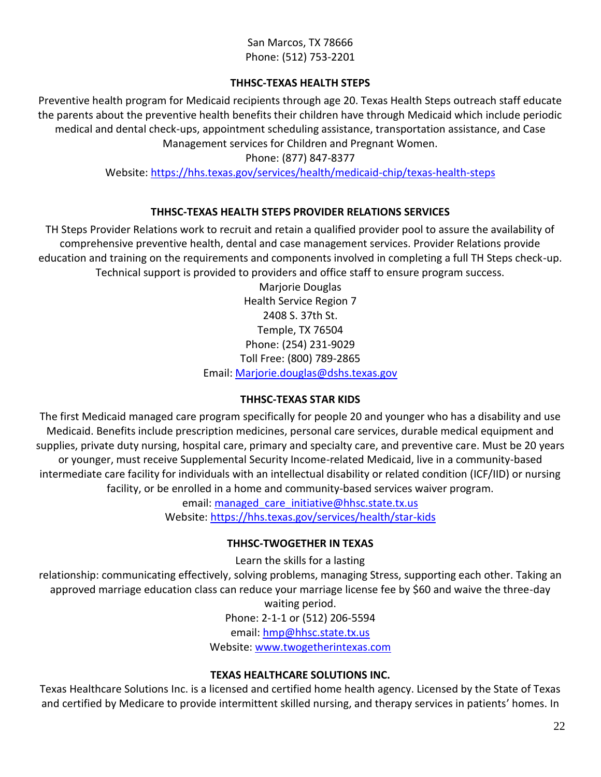## San Marcos, TX 78666 Phone: (512) 753-2201

## **THHSC-TEXAS HEALTH STEPS**

<span id="page-25-0"></span>Preventive health program for Medicaid recipients through age 20. Texas Health Steps outreach staff educate the parents about the preventive health benefits their children have through Medicaid which include periodic medical and dental check-ups, appointment scheduling assistance, transportation assistance, and Case Management services for Children and Pregnant Women.

## Phone: (877) 847-8377

Website: [https://hhs.texas.gov/services/health/medicaid-chip/texas-health-steps](mailto:dmudd@communityaction.com)

## **THHSC-TEXAS HEALTH STEPS PROVIDER RELATIONS SERVICES**

<span id="page-25-1"></span>TH Steps Provider Relations work to recruit and retain a qualified provider pool to assure the availability of comprehensive preventive health, dental and case management services. Provider Relations provide education and training on the requirements and components involved in completing a full TH Steps check-up. Technical support is provided to providers and office staff to ensure program success.

Marjorie Douglas Health Service Region 7 2408 S. 37th St. Temple, TX 76504 Phone: (254) 231-9029 Toll Free: (800) 789-2865 Email: [Marjorie.douglas@dshs.texas.gov](http://www.irs.gov/newsroom/economic-impact-payments-what-you-need-to-know)

## **THHSC-TEXAS STAR KIDS**

<span id="page-25-2"></span>The first Medicaid managed care program specifically for people 20 and younger who has a disability and use Medicaid. Benefits include prescription medicines, personal care services, durable medical equipment and supplies, private duty nursing, hospital care, primary and specialty care, and preventive care. Must be 20 years or younger, must receive Supplemental Security Income-related Medicaid, live in a community-based intermediate care facility for individuals with an intellectual disability or related condition (ICF/IID) or nursing facility, or be enrolled in a home and community-based services waiver program.

email: managed care initiative@hhsc.state.tx.us Website: [https://hhs.texas.gov/services/health/star-kids](http://www.blancoclinic.com/)

## **THHSC-TWOGETHER IN TEXAS**

Learn the skills for a lasting

<span id="page-25-3"></span>relationship: communicating effectively, solving problems, managing Stress, supporting each other. Taking an approved marriage education class can reduce your marriage license fee by \$60 and waive the three-day

waiting period.

Phone: 2-1-1 or (512) 206-5594

email: [hmp@hhsc.state.tx.us](mailto:cynthiaq@anybabycan.org)

Website: [www.twogetherintexas.com](http://www.samhsa.gov/find-help/disaster-distress-helpline)

## **TEXAS HEALTHCARE SOLUTIONS INC.**

<span id="page-25-4"></span>Texas Healthcare Solutions Inc. is a licensed and certified home health agency. Licensed by the State of Texas and certified by Medicare to provide intermittent skilled nursing, and therapy services in patients' homes. In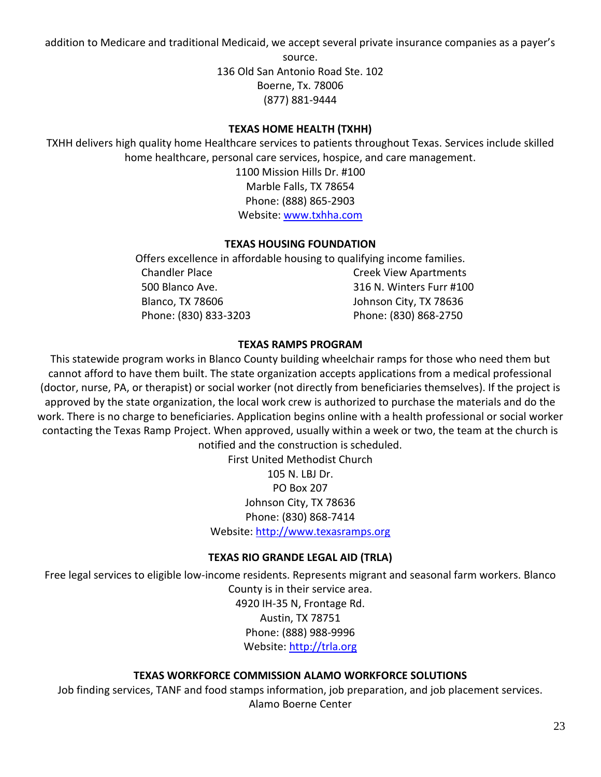addition to Medicare and traditional Medicaid, we accept several private insurance companies as a payer's

source. 136 Old San Antonio Road Ste. 102 Boerne, Tx. 78006 (877) 881-9444

## **TEXAS HOME HEALTH (TXHH)**

<span id="page-26-1"></span><span id="page-26-0"></span>TXHH delivers high quality home Healthcare services to patients throughout Texas. Services include skilled home healthcare, personal care services, hospice, and care management.

1100 Mission Hills Dr. #100 Marble Falls, TX 78654 Phone: (888) 865-2903 Website: [www.txhha.com](mailto:blanco@crctx.org)

## **TEXAS HOUSING FOUNDATION**

Offers excellence in affordable housing to qualifying income families. Chandler Place **Chandler Place** Chandler Place Creek View Apartments 500 Blanco Ave. 316 N. Winters Furr #100 Blanco, TX 78606 Johnson City, TX 78636 Phone: (830) 833-3203 Phone: (830) 868-2750

## **TEXAS RAMPS PROGRAM**

<span id="page-26-2"></span>This statewide program works in Blanco County building wheelchair ramps for those who need them but cannot afford to have them built. The state organization accepts applications from a medical professional (doctor, nurse, PA, or therapist) or social worker (not directly from beneficiaries themselves). If the project is approved by the state organization, the local work crew is authorized to purchase the materials and do the work. There is no charge to beneficiaries. Application begins online with a health professional or social worker contacting the Texas Ramp Project. When approved, usually within a week or two, the team at the church is notified and the construction is scheduled.

> First United Methodist Church 105 N. LBJ Dr. PO Box 207 Johnson City, TX 78636 Phone: (830) 868-7414 Website: [http://www.texasramps.org](http://www.texasramps.org/)

## **TEXAS RIO GRANDE LEGAL AID (TRLA)**

<span id="page-26-3"></span>Free legal services to eligible low-income residents. Represents migrant and seasonal farm workers. Blanco

County is in their service area. 4920 IH-35 N, Frontage Rd. Austin, TX 78751 Phone: (888) 988-9996 Website: [http://trla.org](http://www.ready.gov/helping-children-cope)

## **TEXAS WORKFORCE COMMISSION ALAMO WORKFORCE SOLUTIONS**

<span id="page-26-4"></span>Job finding services, TANF and food stamps information, job preparation, and job placement services. Alamo Boerne Center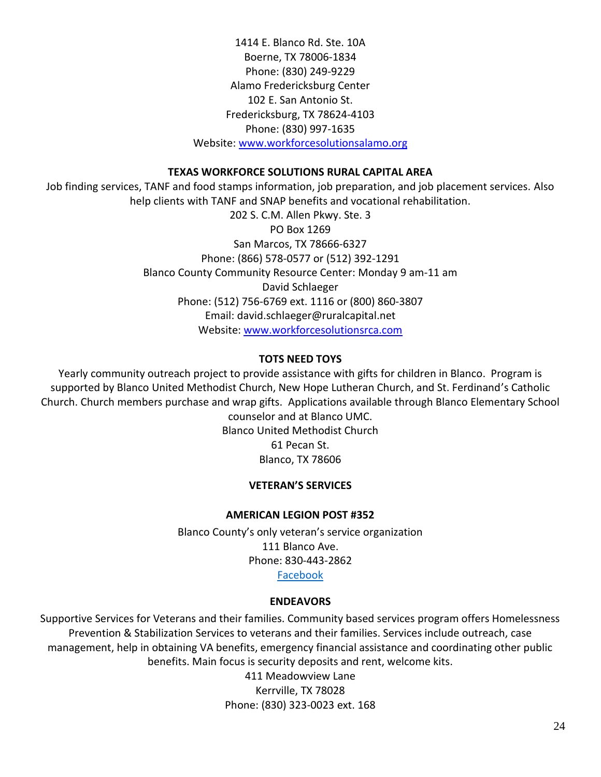1414 E. Blanco Rd. Ste. 10A Boerne, TX 78006-1834 Phone: (830) 249-9229 Alamo Fredericksburg Center 102 E. San Antonio St. Fredericksburg, TX 78624-4103 Phone: (830) 997-1635 Website: [www.workforcesolutionsalamo.org](http://www.publichealth.va.gov/index.asp)

## **TEXAS WORKFORCE SOLUTIONS RURAL CAPITAL AREA**

<span id="page-27-0"></span>Job finding services, TANF and food stamps information, job preparation, and job placement services. Also help clients with TANF and SNAP benefits and vocational rehabilitation.

> 202 S. C.M. Allen Pkwy. Ste. 3 PO Box 1269 San Marcos, TX 78666-6327 Phone: (866) 578-0577 or (512) 392-1291 Blanco County Community Resource Center: Monday 9 am-11 am David Schlaeger Phone: (512) 756-6769 ext. 1116 or (800) 860-3807 Email: david.schlaeger@ruralcapital.net Website: [www.workforcesolutionsrca.com](http://myhealthvet.com/index.php)

#### **TOTS NEED TOYS**

<span id="page-27-2"></span><span id="page-27-1"></span>Yearly community outreach project to provide assistance with gifts for children in Blanco. Program is supported by Blanco United Methodist Church, New Hope Lutheran Church, and St. Ferdinand's Catholic Church. Church members purchase and wrap gifts. Applications available through Blanco Elementary School counselor and at Blanco UMC.

> Blanco United Methodist Church 61 Pecan St. Blanco, TX 78606

#### **VETERAN'S SERVICES**

#### **AMERICAN LEGION POST #352**

Blanco County's only veteran's service organization 111 Blanco Ave. Phone: 830-443-2862 [Facebook](http://www.hillcountry.org/)

#### **ENDEAVORS**

<span id="page-27-4"></span><span id="page-27-3"></span>Supportive Services for Veterans and their families. Community based services program offers Homelessness Prevention & Stabilization Services to veterans and their families. Services include outreach, case management, help in obtaining VA benefits, emergency financial assistance and coordinating other public benefits. Main focus is security deposits and rent, welcome kits. 411 Meadowview Lane Kerrville, TX 78028

Phone: (830) 323-0023 ext. 168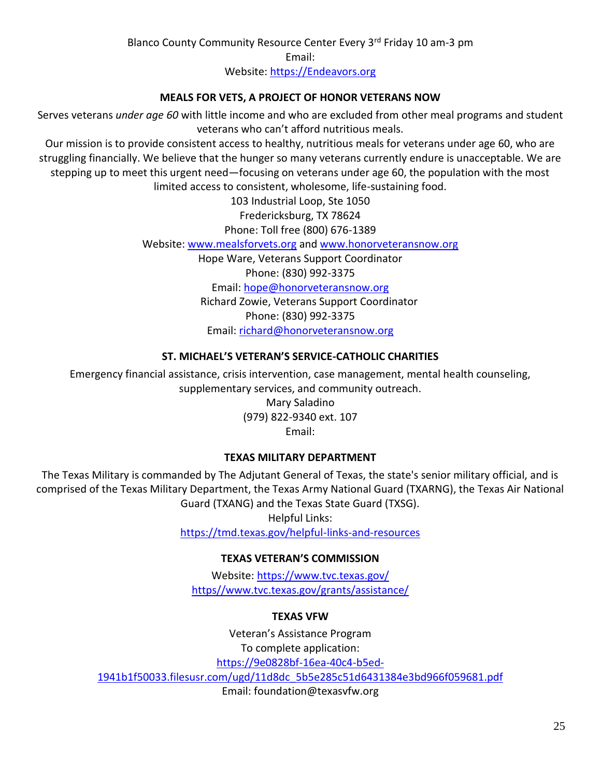Blanco County Community Resource Center Every 3rd Friday 10 am-3 pm Email: Website: [https://Endeavors.org](mailto:cwinn@hillcountry.org)

## **MEALS FOR VETS, A PROJECT OF HONOR VETERANS NOW**

<span id="page-28-0"></span>Serves veterans *under age 60* with little income and who are excluded from other meal programs and student veterans who can't afford nutritious meals.

Our mission is to provide consistent access to healthy, nutritious meals for veterans under age 60, who are struggling financially. We believe that the hunger so many veterans currently endure is unacceptable. We are stepping up to meet this urgent need―focusing on veterans under age 60, the population with the most limited access to consistent, wholesome, life-sustaining food.

> 103 Industrial Loop, Ste 1050 Fredericksburg, TX 78624 Phone: Toll free (800) 676-1389 Website: [www.mealsforvets.org](http://www.avemariahospice-tx.com/?u=http-3A__www.mealsforvets.org&d=DwMFAg&c=r_tSStIHV2ie60z4DgB-pQ&r=xTEOS9eGjR0e6pO05Zlgh1n0IjzlHUfw09qy7qX1vcw&m=NVdax4GbT1FA9K5gRW3gVygYCbqNnmHQ6yUfbQeMhAI&s=hanA_rMKvT8oKxMkOmTNwjrCufVsNjoajSuxUD5M4Zc&e=) and [www.honorveteransnow.org](mailto:info@bulverdepregnancy.org) Hope Ware, Veterans Support Coordinator Phone: (830) 992-3375 Email: [hope@honorveteransnow.org](https://9e0828bf-16ea-40c4-b5ed-1941b1f50033.filesusr.com/ugd/11d8dc_5b5e285c51d6431384e3bd966f059681.pdf) Richard Zowie, Veterans Support Coordinator Phone: (830) 992-3375 Email: [richard@honorveteransnow.org](mailto:richard@honorveteransnow.org)

## **ST. MICHAEL'S VETERAN'S SERVICE-CATHOLIC CHARITIES**

<span id="page-28-1"></span>Emergency financial assistance, crisis intervention, case management, mental health counseling, supplementary services, and community outreach. Mary Saladino

(979) 822-9340 ext. 107 Email:

## **TEXAS MILITARY DEPARTMENT**

<span id="page-28-3"></span><span id="page-28-2"></span>The Texas Military is commanded by The Adjutant General of Texas, the state's senior military official, and is comprised of the Texas Military Department, the Texas Army National Guard (TXARNG), the Texas Air National Guard (TXANG) and the Texas State Guard (TXSG).

Helpful Links: [https://tmd.texas.gov/helpful-links-and-resources](https://anybabycan.org/)

## **TEXAS VETERAN'S COMMISSION**

Website: [https://www.tvc.texas.gov/](https://www.easterseals.com/centraltx/) https//www.tvc.texas.gov/grants/assistance/

## **TEXAS VFW**

<span id="page-28-4"></span>Veteran's Assistance Program To complete application: [https://9e0828bf-16ea-40c4-b5ed-](http://www.hccredcross.org/)[1941b1f50033.filesusr.com/ugd/11d8dc\\_5b5e285c51d6431384e3bd966f059681.pdf](http://www.hccredcross.org/) Email: foundation@texasvfw.org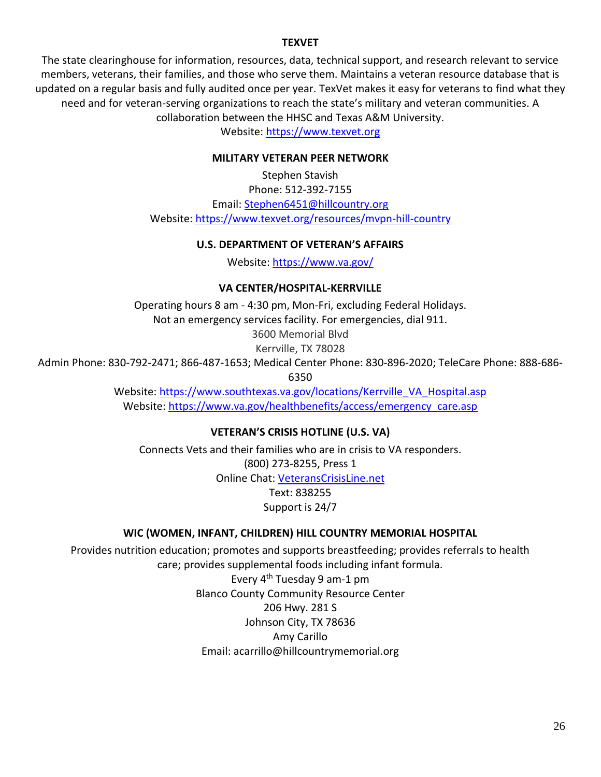#### **TEXVET**

<span id="page-29-1"></span><span id="page-29-0"></span>The state clearinghouse for information, resources, data, technical support, and research relevant to service members, veterans, their families, and those who serve them. Maintains a veteran resource database that is updated on a regular basis and fully audited once per year. TexVet makes it easy for veterans to find what they need and for veteran-serving organizations to reach the state's military and veteran communities. A collaboration between the HHSC and Texas A&M University.

Website: [https://www.texvet.org](http://ecrh.org/)

#### **MILITARY VETERAN PEER NETWORK**

Stephen Stavish Phone: 512-392-7155 Email: [Stephen6451@hillcountry.org](http://www.ready.gov/helping-children-cope) Website: [https://www.texvet.org/resources/mvpn-hill-country](mailto:smorales@CommuniCareSa.org)

#### **U.S. DEPARTMENT OF VETERAN'S AFFAIRS**

Website: [https://www.va.gov/](mailto:stephania.Chavarria@foundcom.org)

#### **VA CENTER/HOSPITAL-KERRVILLE**

<span id="page-29-2"></span>Operating hours 8 am - 4:30 pm, Mon-Fri, excluding Federal Holidays. Not an emergency services facility. For emergencies, dial 911. 3600 Memorial Blvd

Kerrville, TX 78028

<span id="page-29-4"></span><span id="page-29-3"></span>Admin Phone: 830-792-2471; 866-487-1653; Medical Center Phone: 830-896-2020; TeleCare Phone: 888-686- 6350

> Website: [https://www.southtexas.va.gov/locations/Kerrville\\_VA\\_Hospital.asp](mailto:aaacap@capcog.org) Website: [https://www.va.gov/healthbenefits/access/emergency\\_care.asp](https://www.americangateways.org/)

> > **VETERAN'S CRISIS HOTLINE (U.S. VA)**

Connects Vets and their families who are in crisis to VA responders. (800) 273-8255, Press 1 Online Chat: [VeteransCrisisLine.net](http://www.veteranscrisisline.net/) Text: 838255 Support is 24/7

#### **WIC (WOMEN, INFANT, CHILDREN) HILL COUNTRY MEMORIAL HOSPITAL**

<span id="page-29-5"></span>Provides nutrition education; promotes and supports breastfeeding; provides referrals to health care; provides supplemental foods including infant formula. Every 4th Tuesday 9 am-1 pm Blanco County Community Resource Center 206 Hwy. 281 S Johnson City, TX 78636 Amy Carillo Email: acarrillo@hillcountrymemorial.org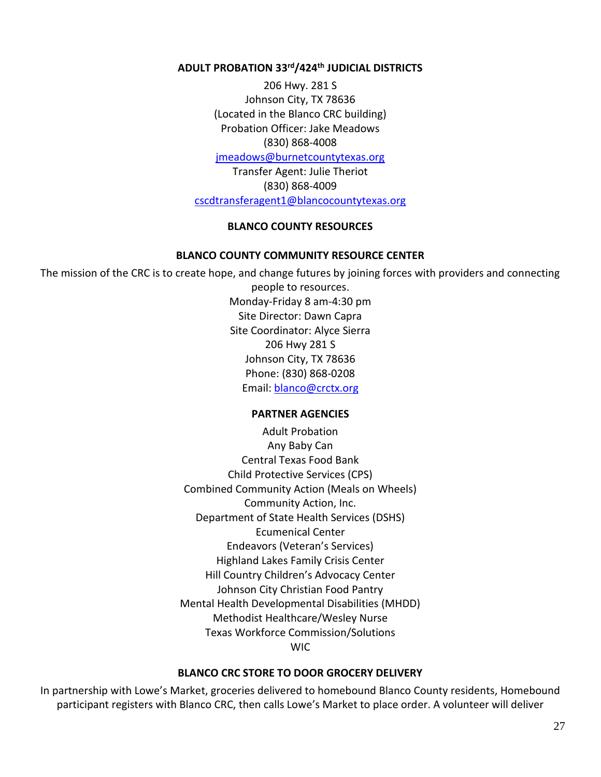## <span id="page-30-0"></span>**ADULT PROBATION 33rd/424th JUDICIAL DISTRICTS**

206 Hwy. 281 S Johnson City, TX 78636 (Located in the Blanco CRC building) Probation Officer: Jake Meadows (830) 868-4008 [jmeadows@burnetcountytexas.org](mailto:cscdcso1@blancocountytexas.org) Transfer Agent: Julie Theriot

(830) 868-4009 [cscdtransferagent1@blancocountytexas.org](http://www.blancogoodsam.org/)

#### **BLANCO COUNTY RESOURCES**

#### **BLANCO COUNTY COMMUNITY RESOURCE CENTER**

<span id="page-30-3"></span><span id="page-30-2"></span><span id="page-30-1"></span>The mission of the CRC is to create hope, and change futures by joining forces with providers and connecting people to resources. Monday-Friday 8 am-4:30 pm Site Director: Dawn Capra Site Coordinator: Alyce Sierra 206 Hwy 281 S Johnson City, TX 78636 Phone: (830) 868-0208 Email: [blanco@crctx.org](http://www.workforcesolutionsrca.com/)

#### **PARTNER AGENCIES**

Adult Probation Any Baby Can Central Texas Food Bank Child Protective Services (CPS) Combined Community Action (Meals on Wheels) Community Action, Inc. Department of State Health Services (DSHS) Ecumenical Center Endeavors (Veteran's Services) Highland Lakes Family Crisis Center Hill Country Children's Advocacy Center Johnson City Christian Food Pantry Mental Health Developmental Disabilities (MHDD) Methodist Healthcare/Wesley Nurse Texas Workforce Commission/Solutions WIC

#### **BLANCO CRC STORE TO DOOR GROCERY DELIVERY**

<span id="page-30-4"></span>In partnership with Lowe's Market, groceries delivered to homebound Blanco County residents, Homebound participant registers with Blanco CRC, then calls Lowe's Market to place order. A volunteer will deliver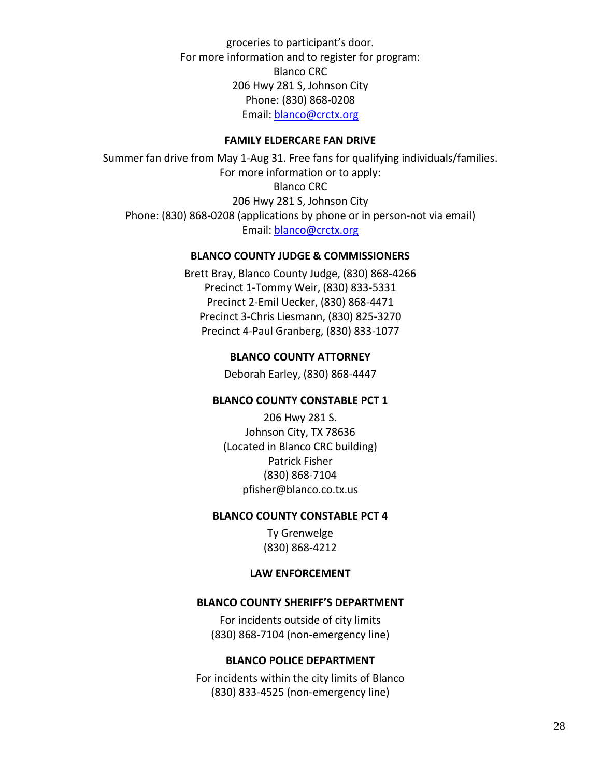groceries to participant's door. For more information and to register for program: Blanco CRC 206 Hwy 281 S, Johnson City Phone: (830) 868-0208 Email: [blanco@crctx.org](mailto:info@BlancoCountyCat.org)

#### **FAMILY ELDERCARE FAN DRIVE**

<span id="page-31-1"></span><span id="page-31-0"></span>Summer fan drive from May 1-Aug 31. Free fans for qualifying individuals/families. For more information or to apply: Blanco CRC 206 Hwy 281 S, Johnson City Phone: (830) 868-0208 (applications by phone or in person-not via email) Email: [blanco@crctx.org](mailto:info@alz.org)

## **BLANCO COUNTY JUDGE & COMMISSIONERS**

<span id="page-31-2"></span>Brett Bray, Blanco County Judge, (830) 868-4266 Precinct 1-Tommy Weir, (830) 833-5331 Precinct 2-Emil Uecker, (830) 868-4471 Precinct 3-Chris Liesmann, (830) 825-3270 Precinct 4-Paul Granberg, (830) 833-1077

#### **BLANCO COUNTY ATTORNEY**

Deborah Earley, (830) 868-4447

#### <span id="page-31-3"></span>**BLANCO COUNTY CONSTABLE PCT 1**

206 Hwy 281 S. Johnson City, TX 78636 (Located in Blanco CRC building) Patrick Fisher (830) 868-7104 pfisher@blanco.co.tx.us

#### <span id="page-31-4"></span>**BLANCO COUNTY CONSTABLE PCT 4**

Ty Grenwelge (830) 868-4212

#### **LAW ENFORCEMENT**

#### <span id="page-31-6"></span><span id="page-31-5"></span>**BLANCO COUNTY SHERIFF'S DEPARTMENT**

For incidents outside of city limits (830) 868-7104 (non-emergency line)

#### **BLANCO POLICE DEPARTMENT**

<span id="page-31-7"></span>For incidents within the city limits of Blanco (830) 833-4525 (non-emergency line)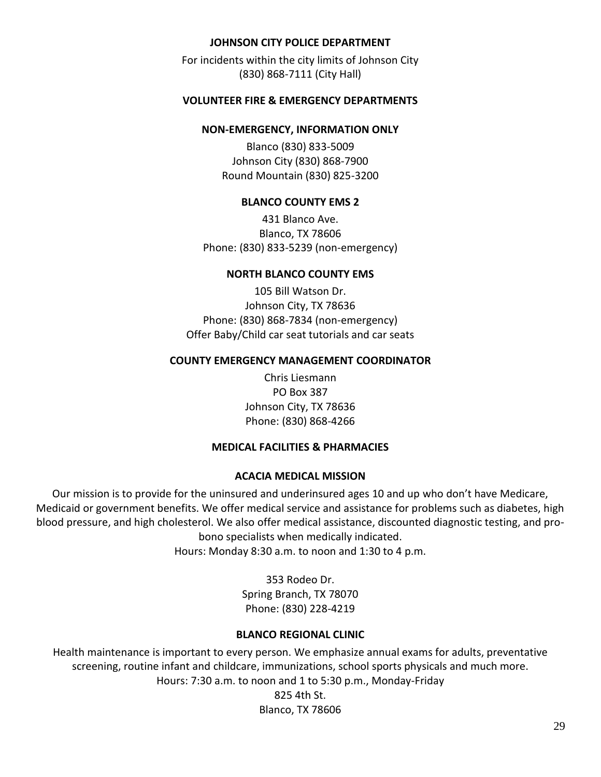## **JOHNSON CITY POLICE DEPARTMENT**

<span id="page-32-0"></span>For incidents within the city limits of Johnson City (830) 868-7111 (City Hall)

#### <span id="page-32-3"></span><span id="page-32-2"></span><span id="page-32-1"></span>**VOLUNTEER FIRE & EMERGENCY DEPARTMENTS**

#### **NON-EMERGENCY, INFORMATION ONLY**

Blanco (830) 833-5009 Johnson City (830) 868-7900 Round Mountain (830) 825-3200

#### **BLANCO COUNTY EMS 2**

431 Blanco Ave. Blanco, TX 78606 Phone: (830) 833-5239 (non-emergency)

#### **NORTH BLANCO COUNTY EMS**

<span id="page-32-4"></span>105 Bill Watson Dr. Johnson City, TX 78636 Phone: (830) 868-7834 (non-emergency) Offer Baby/Child car seat tutorials and car seats

#### <span id="page-32-5"></span>**COUNTY EMERGENCY MANAGEMENT COORDINATOR**

Chris Liesmann PO Box 387 Johnson City, TX 78636 Phone: (830) 868-4266

#### **MEDICAL FACILITIES & PHARMACIES**

#### **ACACIA MEDICAL MISSION**

<span id="page-32-7"></span><span id="page-32-6"></span>Our mission is to provide for the uninsured and underinsured ages 10 and up who don't have Medicare, Medicaid or government benefits. We offer medical service and assistance for problems such as diabetes, high blood pressure, and high cholesterol. We also offer medical assistance, discounted diagnostic testing, and probono specialists when medically indicated. Hours: Monday 8:30 a.m. to noon and 1:30 to 4 p.m.

> 353 Rodeo Dr. Spring Branch, TX 78070 Phone: (830) 228-4219

#### **BLANCO REGIONAL CLINIC**

<span id="page-32-8"></span>Health maintenance is important to every person. We emphasize annual exams for adults, preventative screening, routine infant and childcare, immunizations, school sports physicals and much more. Hours: 7:30 a.m. to noon and 1 to 5:30 p.m., Monday-Friday

825 4th St. Blanco, TX 78606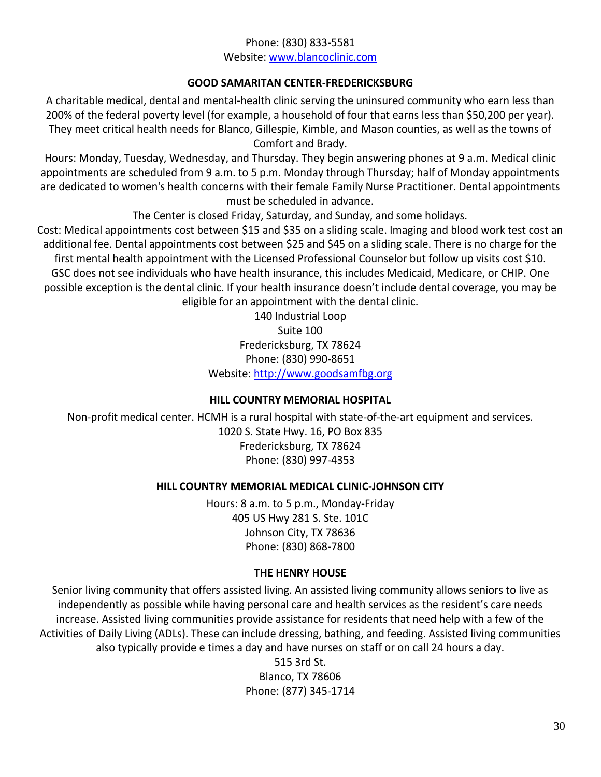## Phone: (830) 833-5581 Website: [www.blancoclinic.com](http://www.alz.org/texascapital)

## **GOOD SAMARITAN CENTER-FREDERICKSBURG**

<span id="page-33-0"></span>A charitable medical, dental and mental-health clinic serving the uninsured community who earn less than 200% of the federal poverty level (for example, a household of four that earns less than \$50,200 per year). They meet critical health needs for Blanco, Gillespie, Kimble, and Mason counties, as well as the towns of Comfort and Brady.

Hours: Monday, Tuesday, Wednesday, and Thursday. They begin answering phones at 9 a.m. Medical clinic appointments are scheduled from 9 a.m. to 5 p.m. Monday through Thursday; half of Monday appointments are dedicated to women's health concerns with their female Family Nurse Practitioner. Dental appointments must be scheduled in advance.

The Center is closed Friday, Saturday, and Sunday, and some holidays.

Cost: Medical appointments cost between \$15 and \$35 on a sliding scale. Imaging and blood work test cost an additional fee. Dental appointments cost between \$25 and \$45 on a sliding scale. There is no charge for the first mental health appointment with the Licensed Professional Counselor but follow up visits cost \$10. GSC does not see individuals who have health insurance, this includes Medicaid, Medicare, or CHIP. One possible exception is the dental clinic. If your health insurance doesn't include dental coverage, you may be eligible for an appointment with the dental clinic.

> 140 Industrial Loop Suite 100 Fredericksburg, TX 78624 Phone: (830) 990-8651 Website: [http://www.goodsamfbg.org](mailto:cleonard@mhm.org)

## **HILL COUNTRY MEMORIAL HOSPITAL**

<span id="page-33-2"></span><span id="page-33-1"></span>Non-profit medical center. HCMH is a rural hospital with state-of-the-art equipment and services. 1020 S. State Hwy. 16, PO Box 835 Fredericksburg, TX 78624 Phone: (830) 997-4353

## **HILL COUNTRY MEMORIAL MEDICAL CLINIC-JOHNSON CITY**

Hours: 8 a.m. to 5 p.m., Monday-Friday 405 US Hwy 281 S. Ste. 101C Johnson City, TX 78636 Phone: (830) 868-7800

## **THE HENRY HOUSE**

<span id="page-33-3"></span>Senior living community that offers assisted living. An assisted living community allows seniors to live as independently as possible while having personal care and health services as the resident's care needs increase. Assisted living communities provide assistance for residents that need help with a few of the Activities of Daily Living (ADLs). These can include dressing, bathing, and feeding. Assisted living communities also typically provide e times a day and have nurses on staff or on call 24 hours a day.

515 3rd St. Blanco, TX 78606 Phone: (877) 345-1714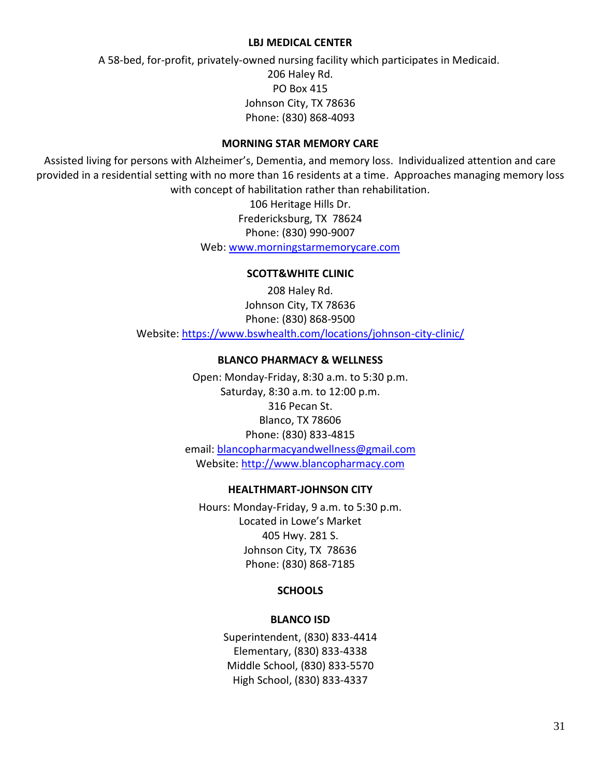#### **LBJ MEDICAL CENTER**

<span id="page-34-0"></span>A 58-bed, for-profit, privately-owned nursing facility which participates in Medicaid. 206 Haley Rd. PO Box 415 Johnson City, TX 78636 Phone: (830) 868-4093

#### **MORNING STAR MEMORY CARE**

<span id="page-34-2"></span><span id="page-34-1"></span>Assisted living for persons with Alzheimer's, Dementia, and memory loss. Individualized attention and care provided in a residential setting with no more than 16 residents at a time. Approaches managing memory loss with concept of habilitation rather than rehabilitation.

> 106 Heritage Hills Dr. Fredericksburg, TX 78624 Phone: (830) 990-9007 Web: [www.morningstarmemorycare.com](http://www.morningstarmemorycare.com/)

#### **SCOTT&WHITE CLINIC**

<span id="page-34-3"></span>208 Haley Rd. Johnson City, TX 78636 Phone: (830) 868-9500 Website:<https://www.bswhealth.com/locations/johnson-city-clinic/>

#### **BLANCO PHARMACY & WELLNESS**

Open: Monday-Friday, 8:30 a.m. to 5:30 p.m. Saturday, 8:30 a.m. to 12:00 p.m. 316 Pecan St. Blanco, TX 78606 Phone: (830) 833-4815 email: [blancopharmacyandwellness@gmail.com](mailto:crimevictims@texasattorneygeneral.gov) Website: [http://www.blancopharmacy.com](mailto:hmp@hhsc.state.tx.us)

#### **HEALTHMART-JOHNSON CITY**

<span id="page-34-5"></span><span id="page-34-4"></span>Hours: Monday-Friday, 9 a.m. to 5:30 p.m. Located in Lowe's Market 405 Hwy. 281 S. Johnson City, TX 78636 Phone: (830) 868-7185

## **SCHOOLS**

#### **BLANCO ISD**

<span id="page-34-6"></span>Superintendent, (830) 833-4414 Elementary, (830) 833-4338 Middle School, (830) 833-5570 High School, (830) 833-4337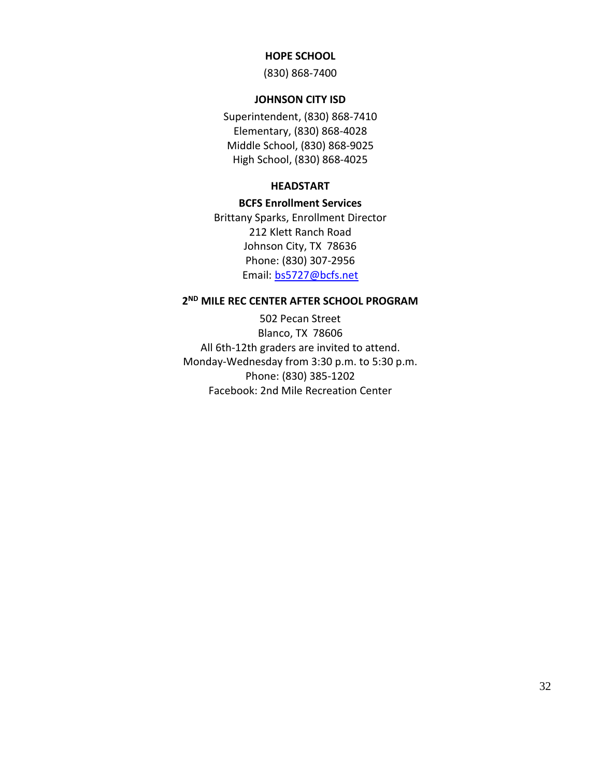#### **HOPE SCHOOL**

(830) 868-7400

#### **JOHNSON CITY ISD**

<span id="page-35-1"></span><span id="page-35-0"></span>Superintendent, (830) 868-7410 Elementary, (830) 868-4028 Middle School, (830) 868-9025 High School, (830) 868-4025

#### **HEADSTART**

#### **BCFS Enrollment Services**

<span id="page-35-2"></span>Brittany Sparks, Enrollment Director 212 Klett Ranch Road Johnson City, TX 78636 Phone: (830) 307-2956 Email: [bs5727@bcfs.net](mailto:bs5727@bcfs.net) 

#### <span id="page-35-3"></span>**2 ND MILE REC CENTER AFTER SCHOOL PROGRAM**

502 Pecan Street Blanco, TX 78606 All 6th-12th graders are invited to attend. Monday-Wednesday from 3:30 p.m. to 5:30 p.m. Phone: (830) 385-1202 Facebook: 2nd Mile Recreation Center